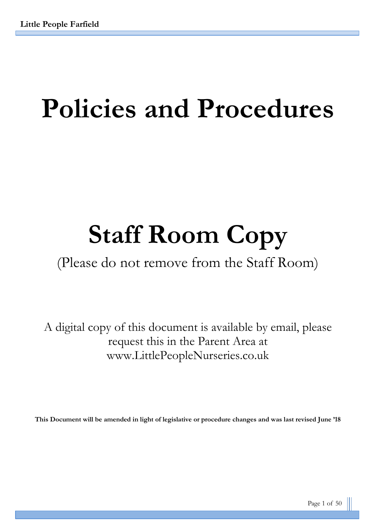# **Policies and Procedures**

# **Staff Room Copy**

# (Please do not remove from the Staff Room)

A digital copy of this document is available by email, please request this in the Parent Area at www.LittlePeopleNurseries.co.uk

**This Document will be amended in light of legislative or procedure changes and was last revised June '18**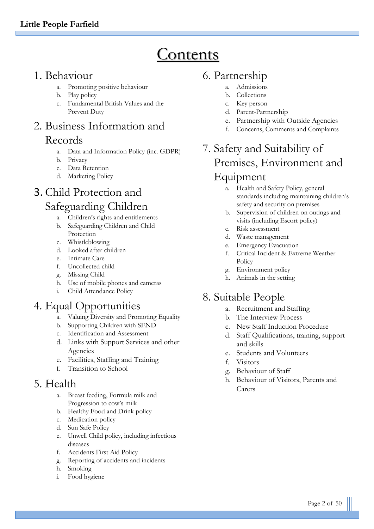# **Contents**

# 1. Behaviour

- a. Promoting positive behaviour
- b. Play policy
- c. Fundamental British Values and the Prevent Duty

# 2. Business Information and Records

- a. Data and Information Policy (inc. GDPR)
- b. Privacy
- c. Data Retention
- d. Marketing Policy

# 3. Child Protection and Safeguarding Children

- a. Children's rights and entitlements
- b. Safeguarding Children and Child Protection
- c. Whistleblowing
- d. Looked after children
- e. Intimate Care
- f. Uncollected child
- g. Missing Child
- h. Use of mobile phones and cameras
- i. Child Attendance Policy

# 4. Equal Opportunities

- a. Valuing Diversity and Promoting Equality
- b. Supporting Children with SEND
- c. Identification and Assessment
- d. Links with Support Services and other Agencies
- e. Facilities, Staffing and Training
- f. Transition to School

# 5. Health

- a. Breast feeding, Formula milk and Progression to cow's milk
- b. Healthy Food and Drink policy
- c. Medication policy
- d. Sun Safe Policy
- e. Unwell Child policy, including infectious diseases
- f. Accidents First Aid Policy
- g. Reporting of accidents and incidents
- h. Smoking
- i. Food hygiene

# 6. Partnership

- a. Admissions
- b. Collections
- c. Key person
- d. Parent-Partnership
- e. Partnership with Outside Agencies
- f. Concerns, Comments and Complaints

# 7. Safety and Suitability of Premises, Environment and Equipment

- a. Health and Safety Policy, general standards including maintaining children's safety and security on premises
- b. Supervision of children on outings and visits (including Escort policy)
- c. Risk assessment
- d. Waste management
- e. Emergency Evacuation
- f. Critical Incident & Extreme Weather Policy
- g. Environment policy
- h. Animals in the setting

# 8. Suitable People

- a. Recruitment and Staffing
- b. The Interview Process
- c. New Staff Induction Procedure
- d. Staff Qualifications, training, support and skills
- e. Students and Volunteers
- f. Visitors
- g. Behaviour of Staff
- h. Behaviour of Visitors, Parents and Carers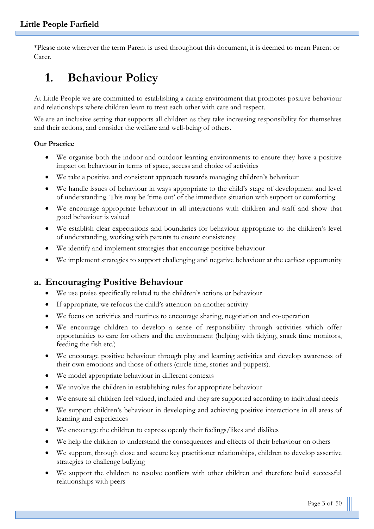\*Please note wherever the term Parent is used throughout this document, it is deemed to mean Parent or Carer.

# **1. Behaviour Policy**

At Little People we are committed to establishing a caring environment that promotes positive behaviour and relationships where children learn to treat each other with care and respect.

We are an inclusive setting that supports all children as they take increasing responsibility for themselves and their actions, and consider the welfare and well-being of others.

#### **Our Practice**

- We organise both the indoor and outdoor learning environments to ensure they have a positive impact on behaviour in terms of space, access and choice of activities
- We take a positive and consistent approach towards managing children's behaviour
- We handle issues of behaviour in ways appropriate to the child's stage of development and level of understanding. This may be 'time out' of the immediate situation with support or comforting
- We encourage appropriate behaviour in all interactions with children and staff and show that good behaviour is valued
- We establish clear expectations and boundaries for behaviour appropriate to the children's level of understanding, working with parents to ensure consistency
- We identify and implement strategies that encourage positive behaviour
- We implement strategies to support challenging and negative behaviour at the earliest opportunity

# **a. Encouraging Positive Behaviour**

- We use praise specifically related to the children's actions or behaviour
- If appropriate, we refocus the child's attention on another activity
- We focus on activities and routines to encourage sharing, negotiation and co-operation
- We encourage children to develop a sense of responsibility through activities which offer opportunities to care for others and the environment (helping with tidying, snack time monitors, feeding the fish etc.)
- We encourage positive behaviour through play and learning activities and develop awareness of their own emotions and those of others (circle time, stories and puppets).
- We model appropriate behaviour in different contexts
- We involve the children in establishing rules for appropriate behaviour
- We ensure all children feel valued, included and they are supported according to individual needs
- We support children's behaviour in developing and achieving positive interactions in all areas of learning and experiences
- We encourage the children to express openly their feelings/likes and dislikes
- We help the children to understand the consequences and effects of their behaviour on others
- We support, through close and secure key practitioner relationships, children to develop assertive strategies to challenge bullying
- We support the children to resolve conflicts with other children and therefore build successful relationships with peers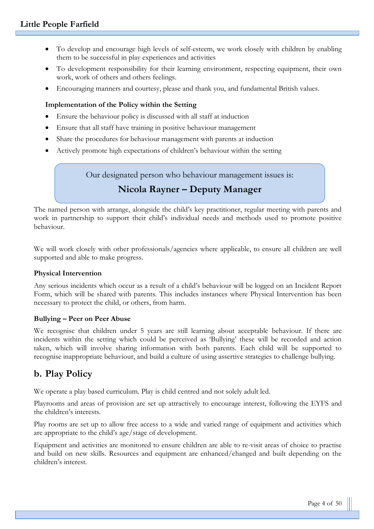- To develop and encourage high levels of self-esteem, we work closely with children by enabling them to be successful in play experiences and activities
- To development responsibility for their learning environment, respecting equipment, their own work, work of others and others feelings.
- Encouraging manners and courtesy, please and thank you, and fundamental British values.

#### **Implementation of the Policy within the Setting**

- Ensure the behaviour policy is discussed with all staff at induction
- Ensure that all staff have training in positive behaviour management
- Share the procedures for behaviour management with parents at induction
- Actively promote high expectations of children's behaviour within the setting

Our designated person who behaviour management issues is:

# **Nicola Rayner – Deputy Manager**

The named person with arrange, alongside the child's key practitioner, regular meeting with parents and work in partnership to support their child's individual needs and methods used to promote positive behaviour.

We will work closely with other professionals/agencies where applicable, to ensure all children are well supported and able to make progress.

#### **Physical Intervention**

Any serious incidents which occur as a result of a child's behaviour will be logged on an Incident Report Form, which will be shared with parents. This includes instances where Physical Intervention has been necessary to protect the child, or others, from harm.

#### **Bullying – Peer on Peer Abuse**

We recognise that children under 5 years are still learning about acceptable behaviour. If there are incidents within the setting which could be perceived as 'Bullying' these will be recorded and action taken, which will involve sharing information with both parents. Each child will be supported to recognise inappropriate behaviour, and build a culture of using assertive strategies to challenge bullying.

# **b. Play Policy**

We operate a play based curriculum. Play is child centred and not solely adult led.

Playrooms and areas of provision are set up attractively to encourage interest, following the EYFS and the children's interests.

Play rooms are set up to allow free access to a wide and varied range of equipment and activities which are appropriate to the child's age/stage of development.

Equipment and activities are monitored to ensure children are able to re-visit areas of choice to practise and build on new skills. Resources and equipment are enhanced/changed and built depending on the children's interest.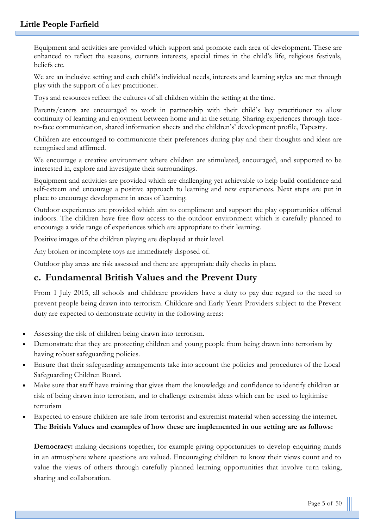Equipment and activities are provided which support and promote each area of development. These are enhanced to reflect the seasons, currents interests, special times in the child's life, religious festivals, beliefs etc.

We are an inclusive setting and each child's individual needs, interests and learning styles are met through play with the support of a key practitioner.

Toys and resources reflect the cultures of all children within the setting at the time.

Parents/carers are encouraged to work in partnership with their child's key practitioner to allow continuity of learning and enjoyment between home and in the setting. Sharing experiences through faceto-face communication, shared information sheets and the children's' development profile, Tapestry.

Children are encouraged to communicate their preferences during play and their thoughts and ideas are recognised and affirmed.

We encourage a creative environment where children are stimulated, encouraged, and supported to be interested in, explore and investigate their surroundings.

Equipment and activities are provided which are challenging yet achievable to help build confidence and self-esteem and encourage a positive approach to learning and new experiences. Next steps are put in place to encourage development in areas of learning.

Outdoor experiences are provided which aim to compliment and support the play opportunities offered indoors. The children have free flow access to the outdoor environment which is carefully planned to encourage a wide range of experiences which are appropriate to their learning.

Positive images of the children playing are displayed at their level.

Any broken or incomplete toys are immediately disposed of.

Outdoor play areas are risk assessed and there are appropriate daily checks in place.

# **c. Fundamental British Values and the Prevent Duty**

From 1 July 2015, all schools and childcare providers have a duty to pay due regard to the need to prevent people being drawn into terrorism. Childcare and Early Years Providers subject to the Prevent duty are expected to demonstrate activity in the following areas:

- Assessing the risk of children being drawn into terrorism.
- Demonstrate that they are protecting children and young people from being drawn into terrorism by having robust safeguarding policies.
- Ensure that their safeguarding arrangements take into account the policies and procedures of the Local Safeguarding Children Board.
- Make sure that staff have training that gives them the knowledge and confidence to identify children at risk of being drawn into terrorism, and to challenge extremist ideas which can be used to legitimise terrorism
- Expected to ensure children are safe from terrorist and extremist material when accessing the internet. **The British Values and examples of how these are implemented in our setting are as follows:**

**Democracy:** making decisions together, for example giving opportunities to develop enquiring minds in an atmosphere where questions are valued. Encouraging children to know their views count and to value the views of others through carefully planned learning opportunities that involve turn taking, sharing and collaboration.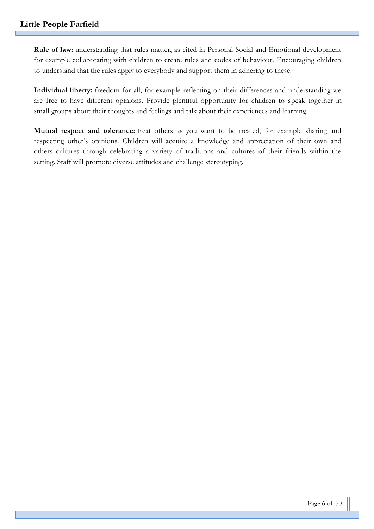**Rule of law:** understanding that rules matter, as cited in Personal Social and Emotional development for example collaborating with children to create rules and codes of behaviour. Encouraging children to understand that the rules apply to everybody and support them in adhering to these.

**Individual liberty:** freedom for all, for example reflecting on their differences and understanding we are free to have different opinions. Provide plentiful opportunity for children to speak together in small groups about their thoughts and feelings and talk about their experiences and learning.

**Mutual respect and tolerance:** treat others as you want to be treated, for example sharing and respecting other's opinions. Children will acquire a knowledge and appreciation of their own and others cultures through celebrating a variety of traditions and cultures of their friends within the setting. Staff will promote diverse attitudes and challenge stereotyping.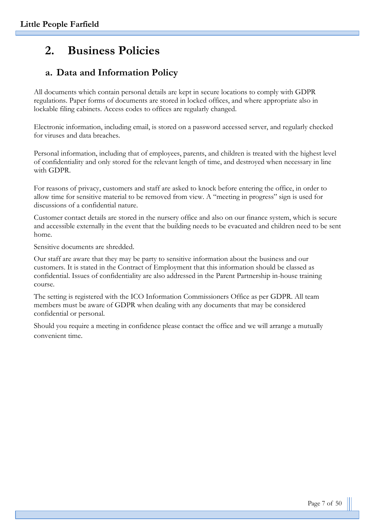# **2. Business Policies**

# **a. Data and Information Policy**

All documents which contain personal details are kept in secure locations to comply with GDPR regulations. Paper forms of documents are stored in locked offices, and where appropriate also in lockable filing cabinets. Access codes to offices are regularly changed.

Electronic information, including email, is stored on a password accessed server, and regularly checked for viruses and data breaches.

Personal information, including that of employees, parents, and children is treated with the highest level of confidentiality and only stored for the relevant length of time, and destroyed when necessary in line with GDPR.

For reasons of privacy, customers and staff are asked to knock before entering the office, in order to allow time for sensitive material to be removed from view. A "meeting in progress" sign is used for discussions of a confidential nature.

Customer contact details are stored in the nursery office and also on our finance system, which is secure and accessible externally in the event that the building needs to be evacuated and children need to be sent home.

Sensitive documents are shredded.

Our staff are aware that they may be party to sensitive information about the business and our customers. It is stated in the Contract of Employment that this information should be classed as confidential. Issues of confidentiality are also addressed in the Parent Partnership in-house training course.

The setting is registered with the ICO Information Commissioners Office as per GDPR. All team members must be aware of GDPR when dealing with any documents that may be considered confidential or personal.

Should you require a meeting in confidence please contact the office and we will arrange a mutually convenient time.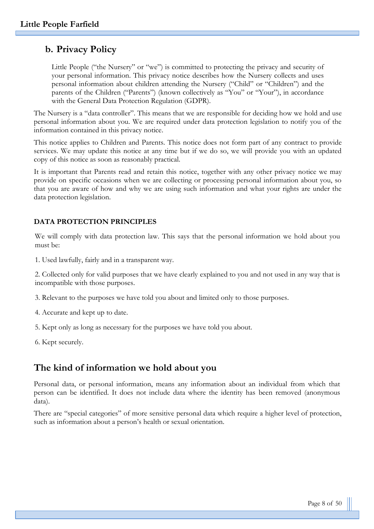# **b. Privacy Policy**

Little People ("the Nursery" or "we") is committed to protecting the privacy and security of your personal information. This privacy notice describes how the Nursery collects and uses personal information about children attending the Nursery ("Child" or "Children") and the parents of the Children ("Parents") (known collectively as "You" or "Your"), in accordance with the General Data Protection Regulation (GDPR).

The Nursery is a "data controller". This means that we are responsible for deciding how we hold and use personal information about you. We are required under data protection legislation to notify you of the information contained in this privacy notice.

This notice applies to Children and Parents. This notice does not form part of any contract to provide services. We may update this notice at any time but if we do so, we will provide you with an updated copy of this notice as soon as reasonably practical.

It is important that Parents read and retain this notice, together with any other privacy notice we may provide on specific occasions when we are collecting or processing personal information about you, so that you are aware of how and why we are using such information and what your rights are under the data protection legislation.

#### **DATA PROTECTION PRINCIPLES**

We will comply with data protection law. This says that the personal information we hold about you must be:

1. Used lawfully, fairly and in a transparent way.

2. Collected only for valid purposes that we have clearly explained to you and not used in any way that is incompatible with those purposes.

3. Relevant to the purposes we have told you about and limited only to those purposes.

- 4. Accurate and kept up to date.
- 5. Kept only as long as necessary for the purposes we have told you about.
- 6. Kept securely.

# **The kind of information we hold about you**

Personal data, or personal information, means any information about an individual from which that person can be identified. It does not include data where the identity has been removed (anonymous data).

There are "special categories" of more sensitive personal data which require a higher level of protection, such as information about a person's health or sexual orientation.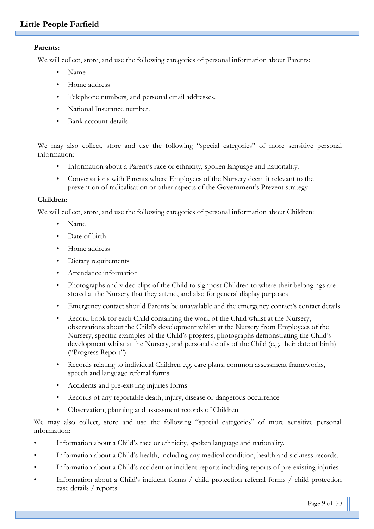#### **Parents:**

We will collect, store, and use the following categories of personal information about Parents:

- Name
- Home address
- Telephone numbers, and personal email addresses.
- National Insurance number.
- Bank account details.

We may also collect, store and use the following "special categories" of more sensitive personal information:

- Information about a Parent's race or ethnicity, spoken language and nationality.
- Conversations with Parents where Employees of the Nursery deem it relevant to the prevention of radicalisation or other aspects of the Government's Prevent strategy

#### **Children:**

We will collect, store, and use the following categories of personal information about Children:

- Name
- Date of birth
- Home address
- Dietary requirements
- Attendance information
- Photographs and video clips of the Child to signpost Children to where their belongings are stored at the Nursery that they attend, and also for general display purposes
- Emergency contact should Parents be unavailable and the emergency contact's contact details
- Record book for each Child containing the work of the Child whilst at the Nursery, observations about the Child's development whilst at the Nursery from Employees of the Nursery, specific examples of the Child's progress, photographs demonstrating the Child's development whilst at the Nursery, and personal details of the Child (e.g. their date of birth) ("Progress Report")
- Records relating to individual Children e.g. care plans, common assessment frameworks, speech and language referral forms
- Accidents and pre-existing injuries forms
- Records of any reportable death, injury, disease or dangerous occurrence
- Observation, planning and assessment records of Children

We may also collect, store and use the following "special categories" of more sensitive personal information:

- Information about a Child's race or ethnicity, spoken language and nationality.
- Information about a Child's health, including any medical condition, health and sickness records.
- Information about a Child's accident or incident reports including reports of pre-existing injuries.
- Information about a Child's incident forms / child protection referral forms / child protection case details / reports.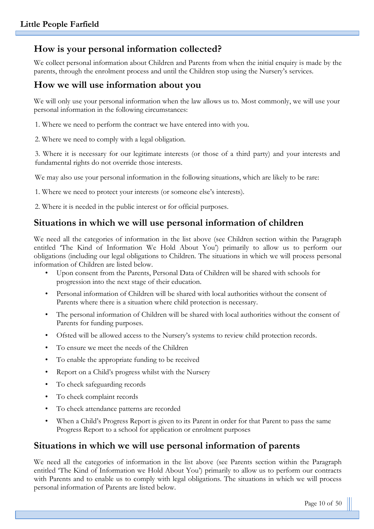# **How is your personal information collected?**

We collect personal information about Children and Parents from when the initial enquiry is made by the parents, through the enrolment process and until the Children stop using the Nursery's services.

## **How we will use information about you**

We will only use your personal information when the law allows us to. Most commonly, we will use your personal information in the following circumstances:

1. Where we need to perform the contract we have entered into with you.

2. Where we need to comply with a legal obligation.

3. Where it is necessary for our legitimate interests (or those of a third party) and your interests and fundamental rights do not override those interests.

We may also use your personal information in the following situations, which are likely to be rare:

1. Where we need to protect your interests (or someone else's interests).

2. Where it is needed in the public interest or for official purposes.

# **Situations in which we will use personal information of children**

We need all the categories of information in the list above (see Children section within the Paragraph entitled 'The Kind of Information We Hold About You') primarily to allow us to perform our obligations (including our legal obligations to Children. The situations in which we will process personal information of Children are listed below.

- Upon consent from the Parents, Personal Data of Children will be shared with schools for progression into the next stage of their education.
- Personal information of Children will be shared with local authorities without the consent of Parents where there is a situation where child protection is necessary.
- The personal information of Children will be shared with local authorities without the consent of Parents for funding purposes.
- Ofsted will be allowed access to the Nursery's systems to review child protection records.
- To ensure we meet the needs of the Children
- To enable the appropriate funding to be received
- Report on a Child's progress whilst with the Nursery
- To check safeguarding records
- To check complaint records
- To check attendance patterns are recorded
- When a Child's Progress Report is given to its Parent in order for that Parent to pass the same Progress Report to a school for application or enrolment purposes

# **Situations in which we will use personal information of parents**

We need all the categories of information in the list above (see Parents section within the Paragraph entitled 'The Kind of Information we Hold About You') primarily to allow us to perform our contracts with Parents and to enable us to comply with legal obligations. The situations in which we will process personal information of Parents are listed below.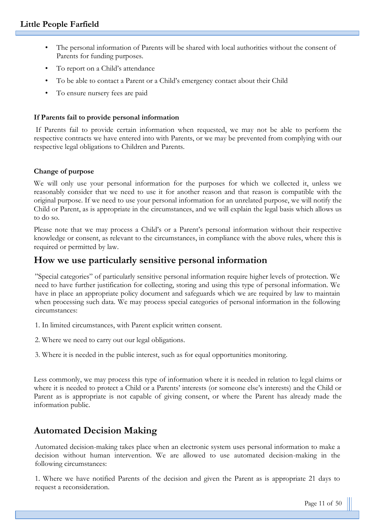- The personal information of Parents will be shared with local authorities without the consent of Parents for funding purposes.
- To report on a Child's attendance
- To be able to contact a Parent or a Child's emergency contact about their Child
- To ensure nursery fees are paid

#### **If Parents fail to provide personal information**

If Parents fail to provide certain information when requested, we may not be able to perform the respective contracts we have entered into with Parents, or we may be prevented from complying with our respective legal obligations to Children and Parents.

#### **Change of purpose**

We will only use your personal information for the purposes for which we collected it, unless we reasonably consider that we need to use it for another reason and that reason is compatible with the original purpose. If we need to use your personal information for an unrelated purpose, we will notify the Child or Parent, as is appropriate in the circumstances, and we will explain the legal basis which allows us to do so.

Please note that we may process a Child's or a Parent's personal information without their respective knowledge or consent, as relevant to the circumstances, in compliance with the above rules, where this is required or permitted by law.

## **How we use particularly sensitive personal information**

"Special categories" of particularly sensitive personal information require higher levels of protection. We need to have further justification for collecting, storing and using this type of personal information. We have in place an appropriate policy document and safeguards which we are required by law to maintain when processing such data. We may process special categories of personal information in the following circumstances:

- 1. In limited circumstances, with Parent explicit written consent.
- 2. Where we need to carry out our legal obligations.

3. Where it is needed in the public interest, such as for equal opportunities monitoring.

Less commonly, we may process this type of information where it is needed in relation to legal claims or where it is needed to protect a Child or a Parents' interests (or someone else's interests) and the Child or Parent as is appropriate is not capable of giving consent, or where the Parent has already made the information public.

# **Automated Decision Making**

Automated decision-making takes place when an electronic system uses personal information to make a decision without human intervention. We are allowed to use automated decision-making in the following circumstances:

1. Where we have notified Parents of the decision and given the Parent as is appropriate 21 days to request a reconsideration.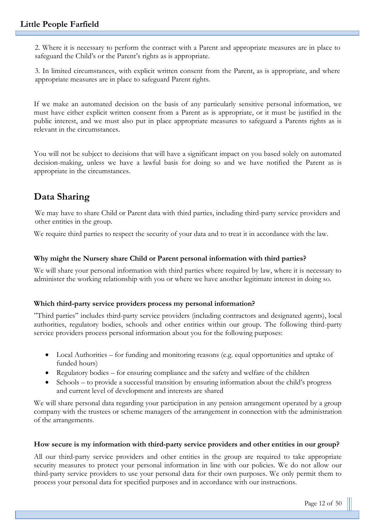2. Where it is necessary to perform the contract with a Parent and appropriate measures are in place to safeguard the Child's or the Parent's rights as is appropriate.

3. In limited circumstances, with explicit written consent from the Parent, as is appropriate, and where appropriate measures are in place to safeguard Parent rights.

If we make an automated decision on the basis of any particularly sensitive personal information, we must have either explicit written consent from a Parent as is appropriate, or it must be justified in the public interest, and we must also put in place appropriate measures to safeguard a Parents rights as is relevant in the circumstances.

You will not be subject to decisions that will have a significant impact on you based solely on automated decision-making, unless we have a lawful basis for doing so and we have notified the Parent as is appropriate in the circumstances.

# **Data Sharing**

We may have to share Child or Parent data with third parties, including third-party service providers and other entities in the group.

We require third parties to respect the security of your data and to treat it in accordance with the law.

#### **Why might the Nursery share Child or Parent personal information with third parties?**

We will share your personal information with third parties where required by law, where it is necessary to administer the working relationship with you or where we have another legitimate interest in doing so.

#### **Which third-party service providers process my personal information?**

"Third parties" includes third-party service providers (including contractors and designated agents), local authorities, regulatory bodies, schools and other entities within our group. The following third-party service providers process personal information about you for the following purposes:

- Local Authorities for funding and monitoring reasons (e.g. equal opportunities and uptake of funded hours)
- Regulatory bodies for ensuring compliance and the safety and welfare of the children
- Schools to provide a successful transition by ensuring information about the child's progress and current level of development and interests are shared

We will share personal data regarding your participation in any pension arrangement operated by a group company with the trustees or scheme managers of the arrangement in connection with the administration of the arrangements.

#### **How secure is my information with third-party service providers and other entities in our group?**

All our third-party service providers and other entities in the group are required to take appropriate security measures to protect your personal information in line with our policies. We do not allow our third-party service providers to use your personal data for their own purposes. We only permit them to process your personal data for specified purposes and in accordance with our instructions.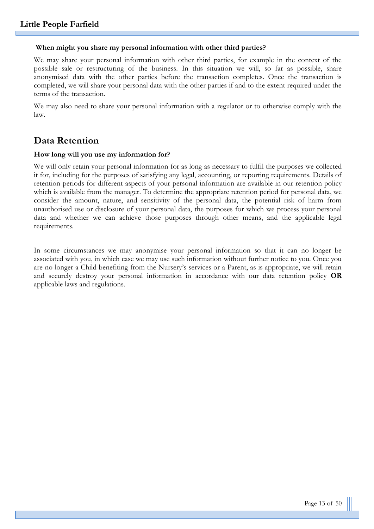#### **When might you share my personal information with other third parties?**

We may share your personal information with other third parties, for example in the context of the possible sale or restructuring of the business. In this situation we will, so far as possible, share anonymised data with the other parties before the transaction completes. Once the transaction is completed, we will share your personal data with the other parties if and to the extent required under the terms of the transaction.

We may also need to share your personal information with a regulator or to otherwise comply with the law.

## **Data Retention**

#### **How long will you use my information for?**

We will only retain your personal information for as long as necessary to fulfil the purposes we collected it for, including for the purposes of satisfying any legal, accounting, or reporting requirements. Details of retention periods for different aspects of your personal information are available in our retention policy which is available from the manager. To determine the appropriate retention period for personal data, we consider the amount, nature, and sensitivity of the personal data, the potential risk of harm from unauthorised use or disclosure of your personal data, the purposes for which we process your personal data and whether we can achieve those purposes through other means, and the applicable legal requirements.

In some circumstances we may anonymise your personal information so that it can no longer be associated with you, in which case we may use such information without further notice to you. Once you are no longer a Child benefiting from the Nursery's services or a Parent, as is appropriate, we will retain and securely destroy your personal information in accordance with our data retention policy **OR** applicable laws and regulations.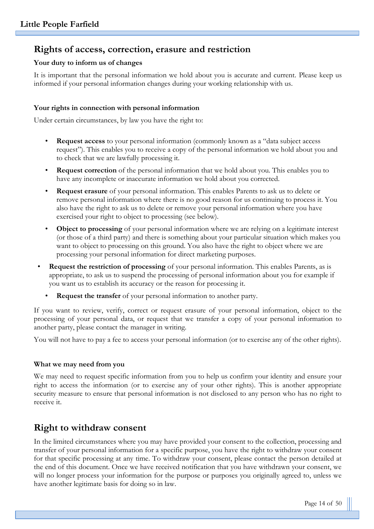# **Rights of access, correction, erasure and restriction**

#### **Your duty to inform us of changes**

It is important that the personal information we hold about you is accurate and current. Please keep us informed if your personal information changes during your working relationship with us.

#### **Your rights in connection with personal information**

Under certain circumstances, by law you have the right to:

- **Request access** to your personal information (commonly known as a "data subject access request"). This enables you to receive a copy of the personal information we hold about you and to check that we are lawfully processing it.
- **Request correction** of the personal information that we hold about you. This enables you to have any incomplete or inaccurate information we hold about you corrected.
- **Request erasure** of your personal information. This enables Parents to ask us to delete or remove personal information where there is no good reason for us continuing to process it. You also have the right to ask us to delete or remove your personal information where you have exercised your right to object to processing (see below).
- **Object to processing** of your personal information where we are relying on a legitimate interest (or those of a third party) and there is something about your particular situation which makes you want to object to processing on this ground. You also have the right to object where we are processing your personal information for direct marketing purposes.
- **Request the restriction of processing** of your personal information. This enables Parents, as is appropriate, to ask us to suspend the processing of personal information about you for example if you want us to establish its accuracy or the reason for processing it.
	- **Request the transfer** of your personal information to another party.

If you want to review, verify, correct or request erasure of your personal information, object to the processing of your personal data, or request that we transfer a copy of your personal information to another party, please contact the manager in writing.

You will not have to pay a fee to access your personal information (or to exercise any of the other rights).

#### **What we may need from you**

We may need to request specific information from you to help us confirm your identity and ensure your right to access the information (or to exercise any of your other rights). This is another appropriate security measure to ensure that personal information is not disclosed to any person who has no right to receive it.

# **Right to withdraw consent**

In the limited circumstances where you may have provided your consent to the collection, processing and transfer of your personal information for a specific purpose, you have the right to withdraw your consent for that specific processing at any time. To withdraw your consent, please contact the person detailed at the end of this document. Once we have received notification that you have withdrawn your consent, we will no longer process your information for the purpose or purposes you originally agreed to, unless we have another legitimate basis for doing so in law.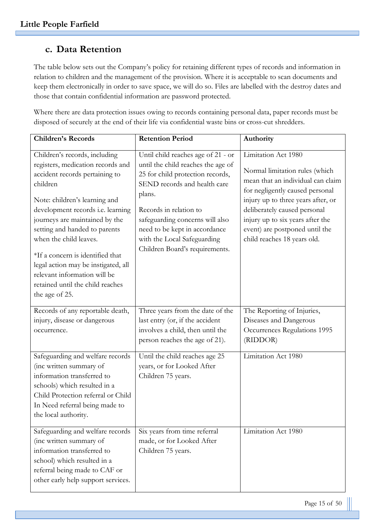# **c. Data Retention**

The table below sets out the Company's policy for retaining different types of records and information in relation to children and the management of the provision. Where it is acceptable to scan documents and keep them electronically in order to save space, we will do so. Files are labelled with the destroy dates and those that contain confidential information are password protected.

Where there are data protection issues owing to records containing personal data, paper records must be disposed of securely at the end of their life via confidential waste bins or cross-cut shredders.

| <b>Children's Records</b>                                                                                                                                                                                                                                                                                                                                                                                                                            | <b>Retention Period</b>                                                                                                                                                                                                                                                                                               | Authority                                                                                                                                                                                                                                                                                                |
|------------------------------------------------------------------------------------------------------------------------------------------------------------------------------------------------------------------------------------------------------------------------------------------------------------------------------------------------------------------------------------------------------------------------------------------------------|-----------------------------------------------------------------------------------------------------------------------------------------------------------------------------------------------------------------------------------------------------------------------------------------------------------------------|----------------------------------------------------------------------------------------------------------------------------------------------------------------------------------------------------------------------------------------------------------------------------------------------------------|
| Children's records, including<br>registers, medication records and<br>accident records pertaining to<br>children<br>Note: children's learning and<br>development records i.e. learning<br>journeys are maintained by the<br>setting and handed to parents<br>when the child leaves.<br>*If a concern is identified that<br>legal action may be instigated, all<br>relevant information will be<br>retained until the child reaches<br>the age of 25. | Until child reaches age of 21 - or<br>until the child reaches the age of<br>25 for child protection records,<br>SEND records and health care<br>plans.<br>Records in relation to<br>safeguarding concerns will also<br>need to be kept in accordance<br>with the Local Safeguarding<br>Children Board's requirements. | Limitation Act 1980<br>Normal limitation rules (which<br>mean that an individual can claim<br>for negligently caused personal<br>injury up to three years after, or<br>deliberately caused personal<br>injury up to six years after the<br>event) are postponed until the<br>child reaches 18 years old. |
| Records of any reportable death,<br>injury, disease or dangerous<br>occurrence.                                                                                                                                                                                                                                                                                                                                                                      | Three years from the date of the<br>last entry (or, if the accident<br>involves a child, then until the<br>person reaches the age of 21).                                                                                                                                                                             | The Reporting of Injuries,<br>Diseases and Dangerous<br>Occurrences Regulations 1995<br>(RIDDOR)                                                                                                                                                                                                         |
| Safeguarding and welfare records<br>(inc written summary of<br>information transferred to<br>schools) which resulted in a<br>Child Protection referral or Child<br>In Need referral being made to<br>the local authority.                                                                                                                                                                                                                            | Until the child reaches age 25<br>years, or for Looked After<br>Children 75 years.                                                                                                                                                                                                                                    | Limitation Act 1980                                                                                                                                                                                                                                                                                      |
| Safeguarding and welfare records<br>(inc written summary of<br>information transferred to<br>school) which resulted in a<br>referral being made to CAF or<br>other early help support services.                                                                                                                                                                                                                                                      | Six years from time referral<br>made, or for Looked After<br>Children 75 years.                                                                                                                                                                                                                                       | Limitation Act 1980                                                                                                                                                                                                                                                                                      |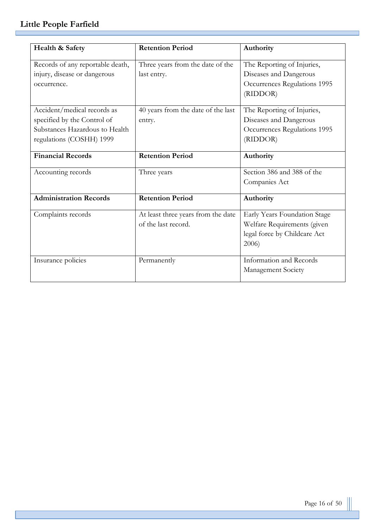| Health & Safety                  | <b>Retention Period</b>            | Authority                    |
|----------------------------------|------------------------------------|------------------------------|
| Records of any reportable death, | Three years from the date of the   | The Reporting of Injuries,   |
| injury, disease or dangerous     | last entry.                        | Diseases and Dangerous       |
| occurrence.                      |                                    | Occurrences Regulations 1995 |
|                                  |                                    | (RIDDOR)                     |
| Accident/medical records as      | 40 years from the date of the last | The Reporting of Injuries,   |
| specified by the Control of      | entry.                             | Diseases and Dangerous       |
| Substances Hazardous to Health   |                                    | Occurrences Regulations 1995 |
| regulations (COSHH) 1999         |                                    | (RIDDOR)                     |
| <b>Financial Records</b>         | <b>Retention Period</b>            | Authority                    |
| Accounting records               | Three years                        | Section 386 and 388 of the   |
|                                  |                                    | Companies Act                |
| <b>Administration Records</b>    | <b>Retention Period</b>            | Authority                    |
| Complaints records               | At least three years from the date | Early Years Foundation Stage |
|                                  | of the last record.                | Welfare Requirements (given  |
|                                  |                                    | legal force by Childcare Act |
|                                  |                                    | 2006)                        |
| Insurance policies               | Permanently                        | Information and Records      |
|                                  |                                    | Management Society           |
|                                  |                                    |                              |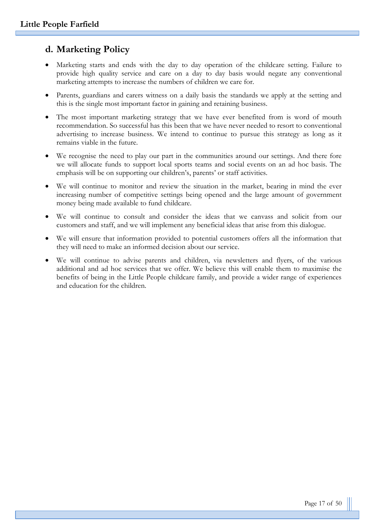# **d. Marketing Policy**

- Marketing starts and ends with the day to day operation of the childcare setting. Failure to provide high quality service and care on a day to day basis would negate any conventional marketing attempts to increase the numbers of children we care for.
- Parents, guardians and carers witness on a daily basis the standards we apply at the setting and this is the single most important factor in gaining and retaining business.
- The most important marketing strategy that we have ever benefited from is word of mouth recommendation. So successful has this been that we have never needed to resort to conventional advertising to increase business. We intend to continue to pursue this strategy as long as it remains viable in the future.
- We recognise the need to play our part in the communities around our settings. And there fore we will allocate funds to support local sports teams and social events on an ad hoc basis. The emphasis will be on supporting our children's, parents' or staff activities.
- We will continue to monitor and review the situation in the market, bearing in mind the ever increasing number of competitive settings being opened and the large amount of government money being made available to fund childcare.
- We will continue to consult and consider the ideas that we canvass and solicit from our customers and staff, and we will implement any beneficial ideas that arise from this dialogue.
- We will ensure that information provided to potential customers offers all the information that they will need to make an informed decision about our service.
- We will continue to advise parents and children, via newsletters and flyers, of the various additional and ad hoc services that we offer. We believe this will enable them to maximise the benefits of being in the Little People childcare family, and provide a wider range of experiences and education for the children.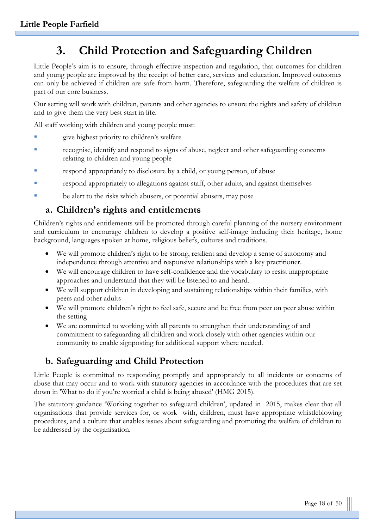# **3. Child Protection and Safeguarding Children**

Little People's aim is to ensure, through effective inspection and regulation, that outcomes for children and young people are improved by the receipt of better care, services and education. Improved outcomes can only be achieved if children are safe from harm. Therefore, safeguarding the welfare of children is part of our core business.

Our setting will work with children, parents and other agencies to ensure the rights and safety of children and to give them the very best start in life.

All staff working with children and young people must:

- give highest priority to children's welfare
- recognise, identify and respond to signs of abuse, neglect and other safeguarding concerns relating to children and young people
- respond appropriately to disclosure by a child, or young person, of abuse
- respond appropriately to allegations against staff, other adults, and against themselves
- be alert to the risks which abusers, or potential abusers, may pose

# **a. Children's rights and entitlements**

Children's rights and entitlements will be promoted through careful planning of the nursery environment and curriculum to encourage children to develop a positive self-image including their heritage, home background, languages spoken at home, religious beliefs, cultures and traditions.

- We will promote children's right to be strong, resilient and develop a sense of autonomy and independence through attentive and responsive relationships with a key practitioner.
- We will encourage children to have self-confidence and the vocabulary to resist inappropriate approaches and understand that they will be listened to and heard.
- We will support children in developing and sustaining relationships within their families, with peers and other adults
- We will promote children's right to feel safe, secure and be free from peer on peer abuse within the setting
- We are committed to working with all parents to strengthen their understanding of and commitment to safeguarding all children and work closely with other agencies within our community to enable signposting for additional support where needed.

# **b. Safeguarding and Child Protection**

Little People is committed to responding promptly and appropriately to all incidents or concerns of abuse that may occur and to work with statutory agencies in accordance with the procedures that are set down in 'What to do if you're worried a child is being abused' (HMG 2015).

The statutory guidance 'Working together to safeguard children', updated in 2015, makes clear that all organisations that provide services for, or work with, children, must have appropriate whistleblowing procedures, and a culture that enables issues about safeguarding and promoting the welfare of children to be addressed by the organisation.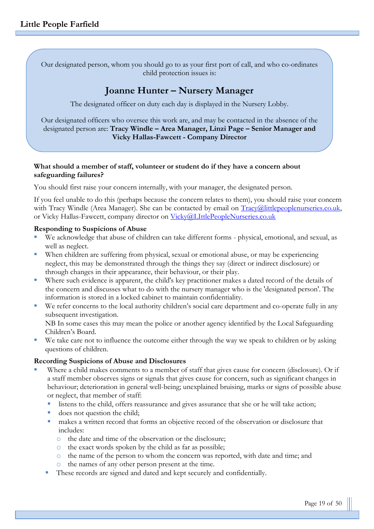Our designated person, whom you should go to as your first port of call, and who co-ordinates child protection issues is:

# **Joanne Hunter – Nursery Manager**

The designated officer on duty each day is displayed in the Nursery Lobby.

Our designated officers who oversee this work are, and may be contacted in the absence of the designated person are: **Tracy Windle – Area Manager, Linzi Page – Senior Manager and Vicky Hallas-Fawcett - Company Director**

#### **What should a member of staff, volunteer or student do if they have a concern about safeguarding failures?**

You should first raise your concern internally, with your manager, the designated person.

If you feel unable to do this (perhaps because the concern relates to them), you should raise your concern with Tracy Windle (Area Manager). She can be contacted by email on [Tracy@littlepeoplenurseries.co.uk,](mailto:Tracy@littlepeoplenurseries.co.uk) or Vicky Hallas-Fawcett, company director on [Vicky@LIttlePeopleNurseries.co.uk](mailto:Vicky@LIttlePeopleNurseries.co.uk)

#### **Responding to Suspicions of Abuse**

- We acknowledge that abuse of children can take different forms physical, emotional, and sexual, as well as neglect.
- When children are suffering from physical, sexual or emotional abuse, or may be experiencing neglect, this may be demonstrated through the things they say (direct or indirect disclosure) or through changes in their appearance, their behaviour, or their play.
- Where such evidence is apparent, the child's key practitioner makes a dated record of the details of the concern and discusses what to do with the nursery manager who is the 'designated person'. The information is stored in a locked cabinet to maintain confidentiality.
- We refer concerns to the local authority children's social care department and co-operate fully in any subsequent investigation. NB In some cases this may mean the police or another agency identified by the Local Safeguarding

Children's Board.

We take care not to influence the outcome either through the way we speak to children or by asking questions of children.

#### **Recording Suspicions of Abuse and Disclosures**

- Where a child makes comments to a member of staff that gives cause for concern (disclosure). Or if a staff member observes signs or signals that gives cause for concern, such as significant changes in behaviour; deterioration in general well-being; unexplained bruising, marks or signs of possible abuse or neglect, that member of staff:
	- listens to the child, offers reassurance and gives assurance that she or he will take action;
	- does not question the child;
	- makes a written record that forms an objective record of the observation or disclosure that includes:
		- o the date and time of the observation or the disclosure;
		- o the exact words spoken by the child as far as possible;
		- o the name of the person to whom the concern was reported, with date and time; and
		- o the names of any other person present at the time.
	- These records are signed and dated and kept securely and confidentially.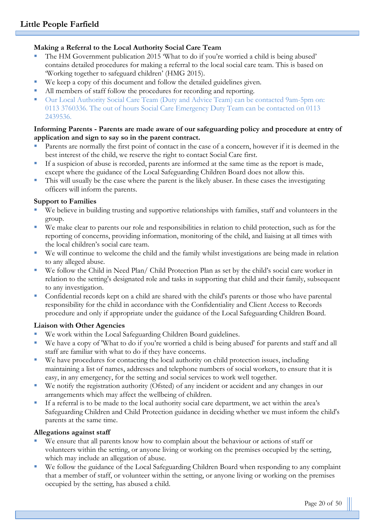#### **Making a Referral to the Local Authority Social Care Team**

- The HM Government publication 2015 'What to do if you're worned a child is being abused' contains detailed procedures for making a referral to the local social care team. This is based on 'Working together to safeguard children' (HMG 2015).
- We keep a copy of this document and follow the detailed guidelines given.
- All members of staff follow the procedures for recording and reporting.
- Our Local Authority Social Care Team (Duty and Advice Team) can be contacted 9am-5pm on: 0113 3760336. The out of hours Social Care Emergency Duty Team can be contacted on 0113 2439536.

#### **Informing Parents - Parents are made aware of our safeguarding policy and procedure at entry of application and sign to say so in the parent contract.**

- Parents are normally the first point of contact in the case of a concern, however if it is deemed in the best interest of the child, we reserve the right to contact Social Care first.
- If a suspicion of abuse is recorded, parents are informed at the same time as the report is made, except where the guidance of the Local Safeguarding Children Board does not allow this.
- This will usually be the case where the parent is the likely abuser. In these cases the investigating officers will inform the parents.

#### **Support to Families**

- We believe in building trusting and supportive relationships with families, staff and volunteers in the group.
- We make clear to parents our role and responsibilities in relation to child protection, such as for the reporting of concerns, providing information, monitoring of the child, and liaising at all times with the local children's social care team.
- We will continue to welcome the child and the family whilst investigations are being made in relation to any alleged abuse.
- We follow the Child in Need Plan/ Child Protection Plan as set by the child's social care worker in relation to the setting's designated role and tasks in supporting that child and their family, subsequent to any investigation.
- Confidential records kept on a child are shared with the child's parents or those who have parental responsibility for the child in accordance with the Confidentiality and Client Access to Records procedure and only if appropriate under the guidance of the Local Safeguarding Children Board.

#### **Liaison with Other Agencies**

- We work within the Local Safeguarding Children Board guidelines.
- We have a copy of 'What to do if you're worried a child is being abused' for parents and staff and all staff are familiar with what to do if they have concerns.
- We have procedures for contacting the local authority on child protection issues, including maintaining a list of names, addresses and telephone numbers of social workers, to ensure that it is easy, in any emergency, for the setting and social services to work well together.
- We notify the registration authority (Ofsted) of any incident or accident and any changes in our arrangements which may affect the wellbeing of children.
- If a referral is to be made to the local authority social care department, we act within the area's Safeguarding Children and Child Protection guidance in deciding whether we must inform the child's parents at the same time.

#### **Allegations against staff**

- We ensure that all parents know how to complain about the behaviour or actions of staff or volunteers within the setting, or anyone living or working on the premises occupied by the setting, which may include an allegation of abuse.
- We follow the guidance of the Local Safeguarding Children Board when responding to any complaint that a member of staff, or volunteer within the setting, or anyone living or working on the premises occupied by the setting, has abused a child.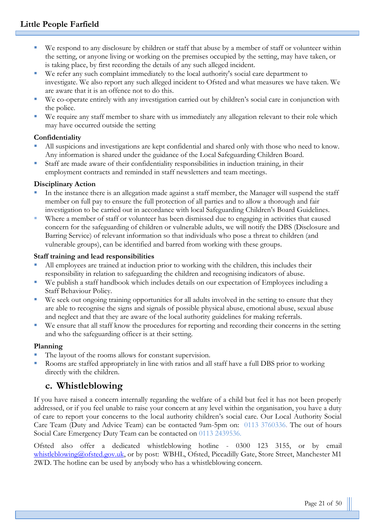- We respond to any disclosure by children or staff that abuse by a member of staff or volunteer within the setting, or anyone living or working on the premises occupied by the setting, may have taken, or is taking place, by first recording the details of any such alleged incident.
- We refer any such complaint immediately to the local authority's social care department to investigate. We also report any such alleged incident to Ofsted and what measures we have taken. We are aware that it is an offence not to do this.
- We co-operate entirely with any investigation carried out by children's social care in conjunction with the police.
- We require any staff member to share with us immediately any allegation relevant to their role which may have occurred outside the setting

#### **Confidentiality**

- All suspicions and investigations are kept confidential and shared only with those who need to know. Any information is shared under the guidance of the Local Safeguarding Children Board.
- Staff are made aware of their confidentiality responsibilities in induction training, in their employment contracts and reminded in staff newsletters and team meetings.

#### **Disciplinary Action**

- In the instance there is an allegation made against a staff member, the Manager will suspend the staff member on full pay to ensure the full protection of all parties and to allow a thorough and fair investigation to be carried out in accordance with local Safeguarding Children's Board Guidelines.
- Where a member of staff or volunteer has been dismissed due to engaging in activities that caused concern for the safeguarding of children or vulnerable adults, we will notify the DBS (Disclosure and Barring Service) of relevant information so that individuals who pose a threat to children (and vulnerable groups), can be identified and barred from working with these groups.

#### **Staff training and lead responsibilities**

- All employees are trained at induction prior to working with the children, this includes their responsibility in relation to safeguarding the children and recognising indicators of abuse.
- We publish a staff handbook which includes details on our expectation of Employees including a Staff Behaviour Policy.
- We seek out ongoing training opportunities for all adults involved in the setting to ensure that they are able to recognise the signs and signals of possible physical abuse, emotional abuse, sexual abuse and neglect and that they are aware of the local authority guidelines for making referrals.
- We ensure that all staff know the procedures for reporting and recording their concerns in the setting and who the safeguarding officer is at their setting.

#### **Planning**

- The layout of the rooms allows for constant supervision.
- Rooms are staffed appropriately in line with ratios and all staff have a full DBS prior to working directly with the children.

# **c. Whistleblowing**

If you have raised a concern internally regarding the welfare of a child but feel it has not been properly addressed, or if you feel unable to raise your concern at any level within the organisation, you have a duty of care to report your concerns to the local authority children's social care. Our Local Authority Social Care Team (Duty and Advice Team) can be contacted 9am-5pm on: 0113 3760336. The out of hours Social Care Emergency Duty Team can be contacted on 0113 2439536.

Ofsted also offer a dedicated whistleblowing hotline - 0300 123 3155, or by email [whistleblowing@ofsted.gov.uk,](mailto:whistleblowing@ofsted.gov.uk) or by post: WBHL, Ofsted, Piccadilly Gate, Store Street, Manchester M1 2WD. The hotline can be used by anybody who has a whistleblowing concern.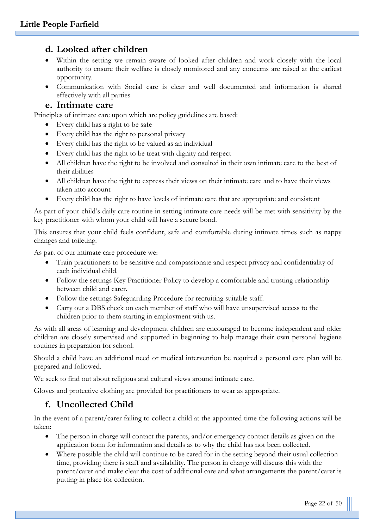# **d. Looked after children**

- Within the setting we remain aware of looked after children and work closely with the local authority to ensure their welfare is closely monitored and any concerns are raised at the earliest opportunity.
- Communication with Social care is clear and well documented and information is shared effectively with all parties

#### **e. Intimate care**

Principles of intimate care upon which are policy guidelines are based:

- Every child has a right to be safe
- Every child has the right to personal privacy
- Every child has the right to be valued as an individual
- Every child has the right to be treat with dignity and respect
- All children have the right to be involved and consulted in their own intimate care to the best of their abilities
- All children have the right to express their views on their intimate care and to have their views taken into account
- Every child has the right to have levels of intimate care that are appropriate and consistent

As part of your child's daily care routine in setting intimate care needs will be met with sensitivity by the key practitioner with whom your child will have a secure bond.

This ensures that your child feels confident, safe and comfortable during intimate times such as nappy changes and toileting.

As part of our intimate care procedure we:

- Train practitioners to be sensitive and compassionate and respect privacy and confidentiality of each individual child.
- Follow the settings Key Practitioner Policy to develop a comfortable and trusting relationship between child and carer.
- Follow the settings Safeguarding Procedure for recruiting suitable staff.
- Carry out a DBS check on each member of staff who will have unsupervised access to the children prior to them starting in employment with us.

As with all areas of learning and development children are encouraged to become independent and older children are closely supervised and supported in beginning to help manage their own personal hygiene routines in preparation for school.

Should a child have an additional need or medical intervention be required a personal care plan will be prepared and followed.

We seek to find out about religious and cultural views around intimate care.

Gloves and protective clothing are provided for practitioners to wear as appropriate.

# **f. Uncollected Child**

In the event of a parent/carer failing to collect a child at the appointed time the following actions will be taken:

- The person in charge will contact the parents, and/or emergency contact details as given on the application form for information and details as to why the child has not been collected.
- Where possible the child will continue to be cared for in the setting beyond their usual collection time, providing there is staff and availability. The person in charge will discuss this with the parent/carer and make clear the cost of additional care and what arrangements the parent/carer is putting in place for collection.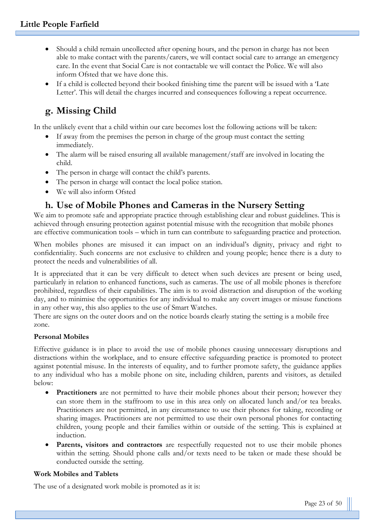- Should a child remain uncollected after opening hours, and the person in charge has not been able to make contact with the parents/carers, we will contact social care to arrange an emergency care. In the event that Social Care is not contactable we will contact the Police. We will also inform Ofsted that we have done this.
- If a child is collected beyond their booked finishing time the parent will be issued with a 'Late Letter'. This will detail the charges incurred and consequences following a repeat occurrence.

# **g. Missing Child**

In the unlikely event that a child within our care becomes lost the following actions will be taken:

- If away from the premises the person in charge of the group must contact the setting immediately.
- The alarm will be raised ensuring all available management/staff are involved in locating the child.
- The person in charge will contact the child's parents.
- The person in charge will contact the local police station.
- We will also inform Ofsted

# **h. Use of Mobile Phones and Cameras in the Nursery Setting**

We aim to promote safe and appropriate practice through establishing clear and robust guidelines. This is achieved through ensuring protection against potential misuse with the recognition that mobile phones are effective communication tools – which in turn can contribute to safeguarding practice and protection.

When mobiles phones are misused it can impact on an individual's dignity, privacy and right to confidentiality. Such concerns are not exclusive to children and young people; hence there is a duty to protect the needs and vulnerabilities of all.

It is appreciated that it can be very difficult to detect when such devices are present or being used, particularly in relation to enhanced functions, such as cameras. The use of all mobile phones is therefore prohibited, regardless of their capabilities. The aim is to avoid distraction and disruption of the working day, and to minimise the opportunities for any individual to make any covert images or misuse functions in any other way, this also applies to the use of Smart Watches.

There are signs on the outer doors and on the notice boards clearly stating the setting is a mobile free zone.

#### **Personal Mobiles**

Effective guidance is in place to avoid the use of mobile phones causing unnecessary disruptions and distractions within the workplace, and to ensure effective safeguarding practice is promoted to protect against potential misuse. In the interests of equality, and to further promote safety, the guidance applies to any individual who has a mobile phone on site, including children, parents and visitors, as detailed below:

- **Practitioners** are not permitted to have their mobile phones about their person; however they can store them in the staffroom to use in this area only on allocated lunch and/or tea breaks. Practitioners are not permitted, in any circumstance to use their phones for taking, recording or sharing images. Practitioners are not permitted to use their own personal phones for contacting children, young people and their families within or outside of the setting. This is explained at induction.
- **Parents, visitors and contractors** are respectfully requested not to use their mobile phones within the setting. Should phone calls and/or texts need to be taken or made these should be conducted outside the setting.

#### **Work Mobiles and Tablets**

The use of a designated work mobile is promoted as it is: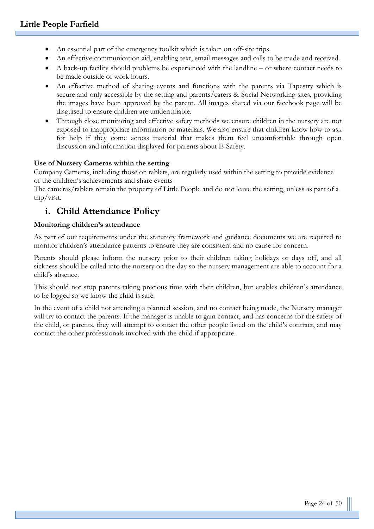- An essential part of the emergency toolkit which is taken on off-site trips.
- An effective communication aid, enabling text, email messages and calls to be made and received.
- A back-up facility should problems be experienced with the landline or where contact needs to be made outside of work hours.
- An effective method of sharing events and functions with the parents via Tapestry which is secure and only accessible by the setting and parents/carers & Social Networking sites, providing the images have been approved by the parent. All images shared via our facebook page will be disguised to ensure children are unidentifiable.
- Through close monitoring and effective safety methods we ensure children in the nursery are not exposed to inappropriate information or materials. We also ensure that children know how to ask for help if they come across material that makes them feel uncomfortable through open discussion and information displayed for parents about E-Safety.

#### **Use of Nursery Cameras within the setting**

Company Cameras, including those on tablets, are regularly used within the setting to provide evidence of the children's achievements and share events

The cameras/tablets remain the property of Little People and do not leave the setting, unless as part of a trip/visit.

# **i. Child Attendance Policy**

#### **Monitoring children's attendance**

As part of our requirements under the statutory framework and guidance documents we are required to monitor children's attendance patterns to ensure they are consistent and no cause for concern.

Parents should please inform the nursery prior to their children taking holidays or days off, and all sickness should be called into the nursery on the day so the nursery management are able to account for a child's absence.

This should not stop parents taking precious time with their children, but enables children's attendance to be logged so we know the child is safe.

In the event of a child not attending a planned session, and no contact being made, the Nursery manager will try to contact the parents. If the manager is unable to gain contact, and has concerns for the safety of the child, or parents, they will attempt to contact the other people listed on the child's contract, and may contact the other professionals involved with the child if appropriate.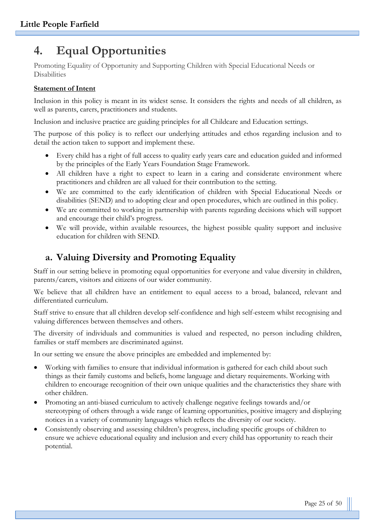# **4. Equal Opportunities**

Promoting Equality of Opportunity and Supporting Children with Special Educational Needs or Disabilities

#### **Statement of Intent**

Inclusion in this policy is meant in its widest sense. It considers the rights and needs of all children, as well as parents, carers, practitioners and students.

Inclusion and inclusive practice are guiding principles for all Childcare and Education settings.

The purpose of this policy is to reflect our underlying attitudes and ethos regarding inclusion and to detail the action taken to support and implement these.

- Every child has a right of full access to quality early years care and education guided and informed by the principles of the Early Years Foundation Stage Framework.
- All children have a right to expect to learn in a caring and considerate environment where practitioners and children are all valued for their contribution to the setting.
- We are committed to the early identification of children with Special Educational Needs or disabilities (SEND) and to adopting clear and open procedures, which are outlined in this policy.
- We are committed to working in partnership with parents regarding decisions which will support and encourage their child's progress.
- We will provide, within available resources, the highest possible quality support and inclusive education for children with SEND.

# **a. Valuing Diversity and Promoting Equality**

Staff in our setting believe in promoting equal opportunities for everyone and value diversity in children, parents/carers, visitors and citizens of our wider community.

We believe that all children have an entitlement to equal access to a broad, balanced, relevant and differentiated curriculum.

Staff strive to ensure that all children develop self-confidence and high self-esteem whilst recognising and valuing differences between themselves and others.

The diversity of individuals and communities is valued and respected, no person including children, families or staff members are discriminated against.

In our setting we ensure the above principles are embedded and implemented by:

- Working with families to ensure that individual information is gathered for each child about such things as their family customs and beliefs, home language and dietary requirements. Working with children to encourage recognition of their own unique qualities and the characteristics they share with other children.
- Promoting an anti-biased curriculum to actively challenge negative feelings towards and/or stereotyping of others through a wide range of learning opportunities, positive imagery and displaying notices in a variety of community languages which reflects the diversity of our society.
- Consistently observing and assessing children's progress, including specific groups of children to ensure we achieve educational equality and inclusion and every child has opportunity to reach their potential.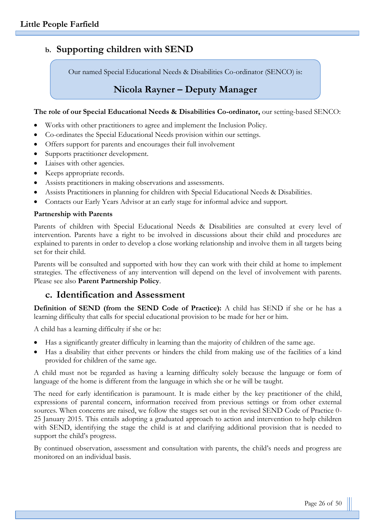# **b. Supporting children with SEND**

Our named Special Educational Needs & Disabilities Co-ordinator (SENCO) is:

# **Nicola Rayner – Deputy Manager**

#### **The role of our Special Educational Needs & Disabilities Co-ordinator,** our setting-based SENCO:

- Works with other practitioners to agree and implement the Inclusion Policy.
- Co-ordinates the Special Educational Needs provision within our settings.
- Offers support for parents and encourages their full involvement
- Supports practitioner development.
- Liaises with other agencies.
- Keeps appropriate records.
- Assists practitioners in making observations and assessments.
- Assists Practitioners in planning for children with Special Educational Needs & Disabilities.
- Contacts our Early Years Advisor at an early stage for informal advice and support.

#### **Partnership with Parents**

Parents of children with Special Educational Needs & Disabilities are consulted at every level of intervention. Parents have a right to be involved in discussions about their child and procedures are explained to parents in order to develop a close working relationship and involve them in all targets being set for their child.

Parents will be consulted and supported with how they can work with their child at home to implement strategies. The effectiveness of any intervention will depend on the level of involvement with parents. Please see also **Parent Partnership Policy**.

## **c. Identification and Assessment**

**Definition of SEND (from the SEND Code of Practice):** A child has SEND if she or he has a learning difficulty that calls for special educational provision to be made for her or him.

A child has a learning difficulty if she or he:

- Has a significantly greater difficulty in learning than the majority of children of the same age.
- Has a disability that either prevents or hinders the child from making use of the facilities of a kind provided for children of the same age.

A child must not be regarded as having a learning difficulty solely because the language or form of language of the home is different from the language in which she or he will be taught.

The need for early identification is paramount. It is made either by the key practitioner of the child, expressions of parental concern, information received from previous settings or from other external sources. When concerns are raised, we follow the stages set out in the revised SEND Code of Practice 0- 25 January 2015. This entails adopting a graduated approach to action and intervention to help children with SEND, identifying the stage the child is at and clarifying additional provision that is needed to support the child's progress.

By continued observation, assessment and consultation with parents, the child's needs and progress are monitored on an individual basis.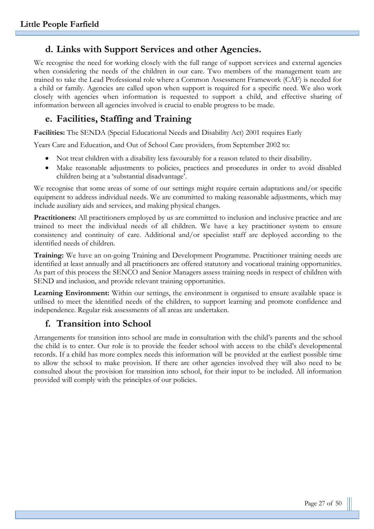# **d. Links with Support Services and other Agencies.**

We recognise the need for working closely with the full range of support services and external agencies when considering the needs of the children in our care. Two members of the management team are trained to take the Lead Professional role where a Common Assessment Framework (CAF) is needed for a child or family. Agencies are called upon when support is required for a specific need. We also work closely with agencies when information is requested to support a child, and effective sharing of information between all agencies involved is crucial to enable progress to be made.

# **e. Facilities, Staffing and Training**

**Facilities:** The SENDA (Special Educational Needs and Disability Act) 2001 requires Early

Years Care and Education, and Out of School Care providers, from September 2002 to:

- Not treat children with a disability less favourably for a reason related to their disability.
- Make reasonable adjustments to policies, practices and procedures in order to avoid disabled children being at a 'substantial disadvantage'.

We recognise that some areas of some of our settings might require certain adaptations and/or specific equipment to address individual needs. We are committed to making reasonable adjustments, which may include auxiliary aids and services, and making physical changes.

**Practitioners:** All practitioners employed by us are committed to inclusion and inclusive practice and are trained to meet the individual needs of all children. We have a key practitioner system to ensure consistency and continuity of care. Additional and/or specialist staff are deployed according to the identified needs of children.

**Training:** We have an on-going Training and Development Programme. Practitioner training needs are identified at least annually and all practitioners are offered statutory and vocational training opportunities. As part of this process the SENCO and Senior Managers assess training needs in respect of children with SEND and inclusion, and provide relevant training opportunities.

**Learning Environment:** Within our settings, the environment is organised to ensure available space is utilised to meet the identified needs of the children, to support learning and promote confidence and independence. Regular risk assessments of all areas are undertaken.

# **f. Transition into School**

Arrangements for transition into school are made in consultation with the child's parents and the school the child is to enter. Our role is to provide the feeder school with access to the child's developmental records. If a child has more complex needs this information will be provided at the earliest possible time to allow the school to make provision. If there are other agencies involved they will also need to be consulted about the provision for transition into school, for their input to be included. All information provided will comply with the principles of our policies.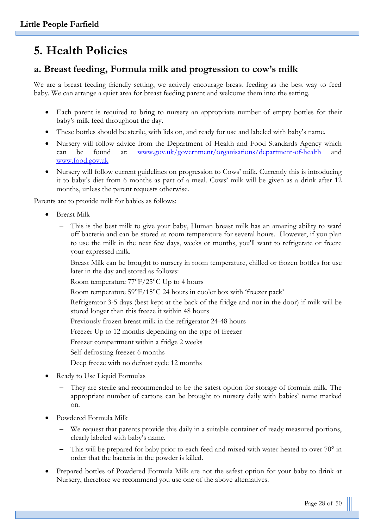# **5. Health Policies**

# **a. Breast feeding, Formula milk and progression to cow's milk**

We are a breast feeding friendly setting, we actively encourage breast feeding as the best way to feed baby. We can arrange a quiet area for breast feeding parent and welcome them into the setting.

- Each parent is required to bring to nursery an appropriate number of empty bottles for their baby's milk feed throughout the day.
- These bottles should be sterile, with lids on, and ready for use and labeled with baby's name.
- Nursery will follow advice from the Department of Health and Food Standards Agency which can be found at: [www.gov.uk/government/organisations/department-of-health](http://www.gov.uk/government/organisations/department-of-health) and [www.food.gov.uk](http://www.food.gov.uk/)
- Nursery will follow current guidelines on progression to Cows' milk. Currently this is introducing it to baby's diet from 6 months as part of a meal. Cows' milk will be given as a drink after 12 months, unless the parent requests otherwise.

Parents are to provide milk for babies as follows:

- Breast Milk
	- This is the best milk to give your baby, Human breast milk has an amazing ability to ward off bacteria and can be stored at room temperature for several hours. However, if you plan to use the milk in the next few days, weeks or months, you'll want to refrigerate or freeze your expressed milk.
	- Breast Milk can be brought to nursery in room temperature, chilled or frozen bottles for use later in the day and stored as follows:

Room temperature 77°F/25°C Up to 4 hours

Room temperature 59°F/15°C 24 hours in cooler box with 'freezer pack'

Refrigerator 3-5 days (best kept at the back of the fridge and not in the door) if milk will be stored longer than this freeze it within 48 hours

Previously frozen breast milk in the refrigerator 24-48 hours

Freezer Up to 12 months depending on the type of freezer

Freezer compartment within a fridge 2 weeks

Self-defrosting freezer 6 months

Deep freeze with no defrost cycle 12 months

- Ready to Use Liquid Formulas
	- They are sterile and recommended to be the safest option for storage of formula milk. The appropriate number of cartons can be brought to nursery daily with babies' name marked on.
- Powdered Formula Milk
	- We request that parents provide this daily in a suitable container of ready measured portions, clearly labeled with baby's name.
	- This will be prepared for baby prior to each feed and mixed with water heated to over 70° in order that the bacteria in the powder is killed.
- Prepared bottles of Powdered Formula Milk are not the safest option for your baby to drink at Nursery, therefore we recommend you use one of the above alternatives.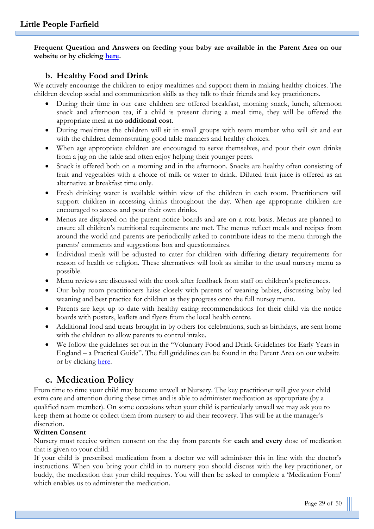**Frequent Question and Answers on feeding your baby are available in the Parent Area on our website or by clicking [here.](http://www.littlepeoplenurseries.co.uk/parent-area/why-choose-us-1)**

#### **b. Healthy Food and Drink**

We actively encourage the children to enjoy mealtimes and support them in making healthy choices. The children develop social and communication skills as they talk to their friends and key practitioners.

- During their time in our care children are offered breakfast, morning snack, lunch, afternoon snack and afternoon tea, if a child is present during a meal time, they will be offered the appropriate meal at **no additional cost**.
- During mealtimes the children will sit in small groups with team member who will sit and eat with the children demonstrating good table manners and healthy choices.
- When age appropriate children are encouraged to serve themselves, and pour their own drinks from a jug on the table and often enjoy helping their younger peers.
- Snack is offered both on a morning and in the afternoon. Snacks are healthy often consisting of fruit and vegetables with a choice of milk or water to drink. Diluted fruit juice is offered as an alternative at breakfast time only.
- Fresh drinking water is available within view of the children in each room. Practitioners will support children in accessing drinks throughout the day. When age appropriate children are encouraged to access and pour their own drinks.
- Menus are displayed on the parent notice boards and are on a rota basis. Menus are planned to ensure all children's nutritional requirements are met. The menus reflect meals and recipes from around the world and parents are periodically asked to contribute ideas to the menu through the parents' comments and suggestions box and questionnaires.
- Individual meals will be adjusted to cater for children with differing dietary requirements for reason of health or religion. These alternatives will look as similar to the usual nursery menu as possible.
- Menu reviews are discussed with the cook after feedback from staff on children's preferences.
- Our baby room practitioners liaise closely with parents of weaning babies, discussing baby led weaning and best practice for children as they progress onto the full nursey menu.
- Parents are kept up to date with healthy eating recommendations for their child via the notice boards with posters, leaflets and flyers from the local health centre.
- Additional food and treats brought in by others for celebrations, such as birthdays, are sent home with the children to allow parents to control intake.
- We follow the guidelines set out in the "Voluntary Food and Drink Guidelines for Early Years in England – a Practical Guide". The full guidelines can be found in the Parent Area on our website or by clicking [here.](http://littlepeople.sites.schooljotter2.com/parent-area/voluntaryguidelines)

# **c. Medication Policy**

From time to time your child may become unwell at Nursery. The key practitioner will give your child extra care and attention during these times and is able to administer medication as appropriate (by a qualified team member). On some occasions when your child is particularly unwell we may ask you to keep them at home or collect them from nursery to aid their recovery. This will be at the manager's discretion.

#### **Written Consent**

Nursery must receive written consent on the day from parents for **each and every** dose of medication that is given to your child.

If your child is prescribed medication from a doctor we will administer this in line with the doctor's instructions. When you bring your child in to nursery you should discuss with the key practitioner, or buddy, the medication that your child requires. You will then be asked to complete a 'Medication Form' which enables us to administer the medication.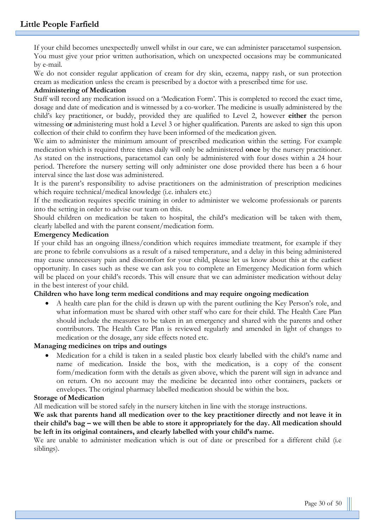If your child becomes unexpectedly unwell whilst in our care, we can administer paracetamol suspension. You must give your prior written authorisation, which on unexpected occasions may be communicated by e-mail.

We do not consider regular application of cream for dry skin, eczema, nappy rash, or sun protection cream as medication unless the cream is prescribed by a doctor with a prescribed time for use.

#### **Administering of Medication**

Staff will record any medication issued on a 'Medication Form'. This is completed to record the exact time, dosage and date of medication and is witnessed by a co-worker. The medicine is usually administered by the child's key practitioner, or buddy, provided they are qualified to Level 2, however **either** the person witnessing **or** administering must hold a Level 3 or higher qualification. Parents are asked to sign this upon collection of their child to confirm they have been informed of the medication given.

We aim to administer the minimum amount of prescribed medication within the setting. For example medication which is required three times daily will only be administered **once** by the nursery practitioner. As stated on the instructions, paracetamol can only be administered with four doses within a 24 hour period. Therefore the nursery setting will only administer one dose provided there has been a 6 hour interval since the last dose was administered.

It is the parent's responsibility to advise practitioners on the administration of prescription medicines which require technical/medical knowledge (i.e. inhalers etc.)

If the medication requires specific training in order to administer we welcome professionals or parents into the setting in order to advise our team on this.

Should children on medication be taken to hospital, the child's medication will be taken with them, clearly labelled and with the parent consent/medication form.

#### **Emergency Medication**

If your child has an ongoing illness/condition which requires immediate treatment, for example if they are prone to febrile convulsions as a result of a raised temperature, and a delay in this being administered may cause unnecessary pain and discomfort for your child, please let us know about this at the earliest opportunity. In cases such as these we can ask you to complete an Emergency Medication form which will be placed on your child's records. This will ensure that we can administer medication without delay in the best interest of your child.

#### **Children who have long term medical conditions and may require ongoing medication**

• A health care plan for the child is drawn up with the parent outlining the Key Person's role, and what information must be shared with other staff who care for their child. The Health Care Plan should include the measures to be taken in an emergency and shared with the parents and other contributors. The Health Care Plan is reviewed regularly and amended in light of changes to medication or the dosage, any side effects noted etc.

#### **Managing medicines on trips and outings**

• Medication for a child is taken in a sealed plastic box clearly labelled with the child's name and name of medication. Inside the box, with the medication, is a copy of the consent form/medication form with the details as given above, which the parent will sign in advance and on return. On no account may the medicine be decanted into other containers, packets or envelopes. The original pharmacy labelled medication should be within the box.

#### **Storage of Medication**

All medication will be stored safely in the nursery kitchen in line with the storage instructions.

We ask that parents hand all medication over to the key practitioner directly and not leave it in **their child's bag – we will then be able to store it appropriately for the day. All medication should be left in its original containers, and clearly labelled with your child's name.**

We are unable to administer medication which is out of date or prescribed for a different child (i.e. siblings).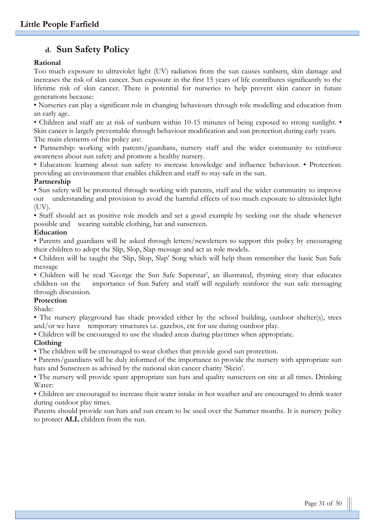# **d. Sun Safety Policy**

#### **Rational**

Too much exposure to ultraviolet light (UV) radiation from the sun causes sunburn, skin damage and increases the risk of skin cancer. Sun exposure in the first 15 years of life contributes significantly to the lifetime risk of skin cancer. There is potential for nurseries to help prevent skin cancer in future generations because:

• Nurseries can play a significant role in changing behaviours through role modelling and education from an early age.

• Children and staff are at risk of sunburn within 10-15 minutes of being exposed to strong sunlight. •

Skin cancer is largely preventable through behaviour modification and sun protection during early years. The main elements of this policy are:

• Partnership: working with parents/guardians, nursery staff and the wider community to reinforce awareness about sun safety and promote a healthy nursery.

• Education: learning about sun safety to increase knowledge and influence behaviour. • Protection: providing an environment that enables children and staff to stay safe in the sun.

#### **Partnership**

• Sun safety will be promoted through working with parents, staff and the wider community to improve our understanding and provision to avoid the harmful effects of too much exposure to ultraviolet light (UV).

• Staff should act as positive role models and set a good example by seeking out the shade whenever possible and wearing suitable clothing, hat and sunscreen.

#### **Education**

• Parents and guardians will be asked through letters/newsletters to support this policy by encouraging their children to adopt the Slip, Slop, Slap message and act as role models.

• Children will be taught the 'Slip, Slop, Slap' Song which will help them remember the basic Sun Safe message

• Children will be read 'George the Sun Safe Superstar', an illustrated, rhyming story that educates children on the importance of Sun Safety and staff will regularly reinforce the sun safe messaging through discussion.

#### **Protection**

Shade:

• The nursery playground has shade provided either by the school building, outdoor shelter(s), trees and/or we have temporary structures i.e. gazebos, etc for use during outdoor play.

• Children will be encouraged to use the shaded areas during playtimes when appropriate.

#### **Clothing**

• The children will be encouraged to wear clothes that provide good sun protection.

• Parents/guardians will be duly informed of the importance to provide the nursery with appropriate sun hats and Sunscreen as advised by the national skin cancer charity 'Skcin'.

• The nursery will provide spare appropriate sun hats and quality sunscreen on site at all times. Drinking Water:

• Children are encouraged to increase their water intake in hot weather and are encouraged to drink water during outdoor play times.

Parents should provide sun hats and sun cream to be used over the Summer months. It is nursery policy to protect **ALL** children from the sun.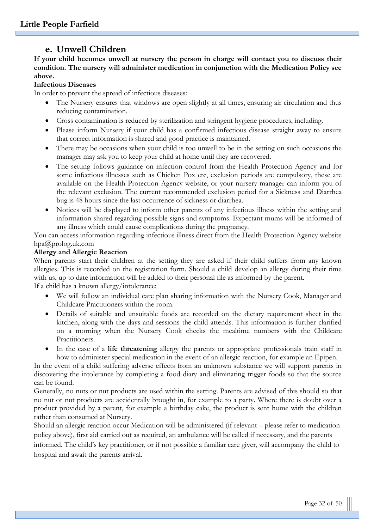# **e. Unwell Children**

**If your child becomes unwell at nursery the person in charge will contact you to discuss their condition. The nursery will administer medication in conjunction with the Medication Policy see above.**

#### **Infectious Diseases**

In order to prevent the spread of infectious diseases:

- The Nursery ensures that windows are open slightly at all times, ensuring air circulation and thus reducing contamination.
- Cross contamination is reduced by sterilization and stringent hygiene procedures, including.
- Please inform Nursery if your child has a confirmed infectious disease straight away to ensure that correct information is shared and good practice is maintained.
- There may be occasions when your child is too unwell to be in the setting on such occasions the manager may ask you to keep your child at home until they are recovered.
- The setting follows guidance on infection control from the Health Protection Agency and for some infectious illnesses such as Chicken Pox etc, exclusion periods are compulsory, these are available on the Health Protection Agency website, or your nursery manager can inform you of the relevant exclusion. The current recommended exclusion period for a Sickness and Diarrhea bug is 48 hours since the last occurrence of sickness or diarrhea.
- Notices will be displayed to inform other parents of any infectious illness within the setting and information shared regarding possible signs and symptoms. Expectant mums will be informed of any illness which could cause complications during the pregnancy.

You can access information regarding infectious illness direct from the Health Protection Agency website hpa@prolog.uk.com

#### **Allergy and Allergic Reaction**

When parents start their children at the setting they are asked if their child suffers from any known allergies. This is recorded on the registration form. Should a child develop an allergy during their time with us, up to date information will be added to their personal file as informed by the parent. If a child has a known allergy/intolerance:

- We will follow an individual care plan sharing information with the Nursery Cook, Manager and Childcare Practitioners within the room.
- Details of suitable and unsuitable foods are recorded on the dietary requirement sheet in the kitchen, along with the days and sessions the child attends. This information is further clarified on a morning when the Nursery Cook checks the mealtime numbers with the Childcare Practitioners.
- In the case of a **life threatening** allergy the parents or appropriate professionals train staff in how to administer special medication in the event of an allergic reaction, for example an Epipen.

In the event of a child suffering adverse effects from an unknown substance we will support parents in discovering the intolerance by completing a food diary and eliminating trigger foods so that the source can be found.

Generally, no nuts or nut products are used within the setting. Parents are advised of this should so that no nut or nut products are accidentally brought in, for example to a party. Where there is doubt over a product provided by a parent, for example a birthday cake, the product is sent home with the children rather than consumed at Nursery.

Should an allergic reaction occur Medication will be administered (if relevant – please refer to medication policy above), first aid carried out as required, an ambulance will be called if necessary, and the parents

informed. The child's key practitioner, or if not possible a familiar care giver, will accompany the child to hospital and await the parents arrival.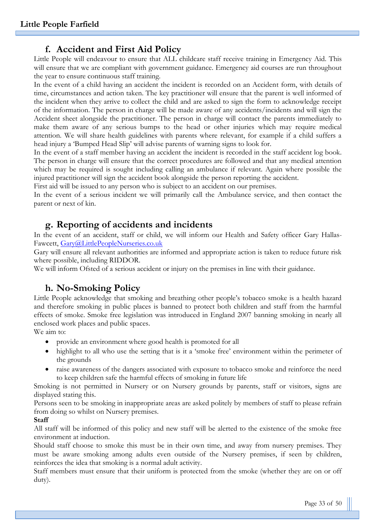# **f. Accident and First Aid Policy**

Little People will endeavour to ensure that ALL childcare staff receive training in Emergency Aid. This will ensure that we are compliant with government guidance. Emergency aid courses are run throughout the year to ensure continuous staff training.

In the event of a child having an accident the incident is recorded on an Accident form, with details of time, circumstances and action taken. The key practitioner will ensure that the parent is well informed of the incident when they arrive to collect the child and are asked to sign the form to acknowledge receipt of the information. The person in charge will be made aware of any accidents/incidents and will sign the Accident sheet alongside the practitioner. The person in charge will contact the parents immediately to make them aware of any serious bumps to the head or other injuries which may require medical attention. We will share health guidelines with parents where relevant, for example if a child suffers a head injury a 'Bumped Head Slip' will advise parents of warning signs to look for.

In the event of a staff member having an accident the incident is recorded in the staff accident log book. The person in charge will ensure that the correct procedures are followed and that any medical attention which may be required is sought including calling an ambulance if relevant. Again where possible the injured practitioner will sign the accident book alongside the person reporting the accident.

First aid will be issued to any person who is subject to an accident on our premises.

In the event of a serious incident we will primarily call the Ambulance service, and then contact the parent or next of kin.

## **g. Reporting of accidents and incidents**

In the event of an accident, staff or child, we will inform our Health and Safety officer Gary Hallas-Fawcett, [Gary@LittlePeopleNurseries.co.uk](mailto:Gary@LittlePeopleNurseries.co.uk)

Gary will ensure all relevant authorities are informed and appropriate action is taken to reduce future risk where possible, including RIDDOR.

We will inform Ofsted of a serious accident or injury on the premises in line with their guidance.

# **h. No-Smoking Policy**

Little People acknowledge that smoking and breathing other people's tobacco smoke is a health hazard and therefore smoking in public places is banned to protect both children and staff from the harmful effects of smoke. Smoke free legislation was introduced in England 2007 banning smoking in nearly all enclosed work places and public spaces.

We aim to:

- provide an environment where good health is promoted for all
- highlight to all who use the setting that is it a 'smoke free' environment within the perimeter of the grounds
- raise awareness of the dangers associated with exposure to tobacco smoke and reinforce the need to keep children safe the harmful effects of smoking in future life

Smoking is not permitted in Nursery or on Nursery grounds by parents, staff or visitors, signs are displayed stating this.

Persons seen to be smoking in inappropriate areas are asked politely by members of staff to please refrain from doing so whilst on Nursery premises.

#### **Staff**

All staff will be informed of this policy and new staff will be alerted to the existence of the smoke free environment at induction.

Should staff choose to smoke this must be in their own time, and away from nursery premises. They must be aware smoking among adults even outside of the Nursery premises, if seen by children, reinforces the idea that smoking is a normal adult activity.

Staff members must ensure that their uniform is protected from the smoke (whether they are on or off duty).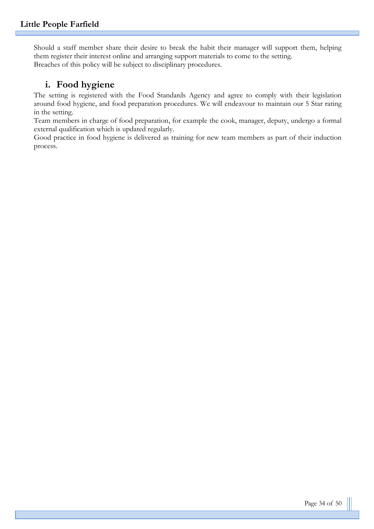Should a staff member share their desire to break the habit their manager will support them, helping them register their interest online and arranging support materials to come to the setting. Breaches of this policy will be subject to disciplinary procedures.

# **i. Food hygiene**

The setting is registered with the Food Standards Agency and agree to comply with their legislation around food hygiene, and food preparation procedures. We will endeavour to maintain our 5 Star rating in the setting.

Team members in charge of food preparation, for example the cook, manager, deputy, undergo a formal external qualification which is updated regularly.

Good practice in food hygiene is delivered as training for new team members as part of their induction process.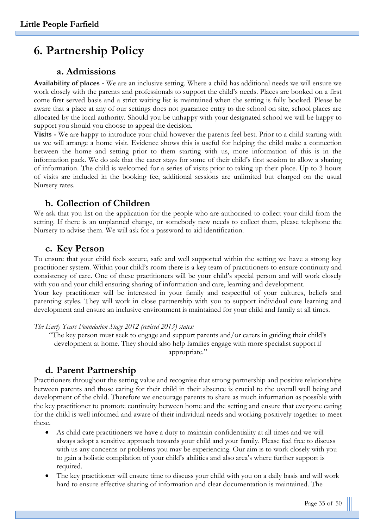# **6. Partnership Policy**

### **a. Admissions**

**Availability of places -** We are an inclusive setting. Where a child has additional needs we will ensure we work closely with the parents and professionals to support the child's needs. Places are booked on a first come first served basis and a strict waiting list is maintained when the setting is fully booked. Please be aware that a place at any of our settings does not guarantee entry to the school on site, school places are allocated by the local authority. Should you be unhappy with your designated school we will be happy to support you should you choose to appeal the decision.

**Visits -** We are happy to introduce your child however the parents feel best. Prior to a child starting with us we will arrange a home visit. Evidence shows this is useful for helping the child make a connection between the home and setting prior to them starting with us, more information of this is in the information pack. We do ask that the carer stays for some of their child's first session to allow a sharing of information. The child is welcomed for a series of visits prior to taking up their place. Up to 3 hours of visits are included in the booking fee, additional sessions are unlimited but charged on the usual Nursery rates.

### **b. Collection of Children**

We ask that you list on the application for the people who are authorised to collect your child from the setting. If there is an unplanned change, or somebody new needs to collect them, please telephone the Nursery to advise them. We will ask for a password to aid identification.

#### **c. Key Person**

To ensure that your child feels secure, safe and well supported within the setting we have a strong key practitioner system. Within your child's room there is a key team of practitioners to ensure continuity and consistency of care. One of these practitioners will be your child's special person and will work closely with you and your child ensuring sharing of information and care, learning and development. Your key practitioner will be interested in your family and respectful of your cultures, beliefs and parenting styles. They will work in close partnership with you to support individual care learning and development and ensure an inclusive environment is maintained for your child and family at all times.

*The Early Years Foundation Stage 2012 (revised 2013) states:*

"The key person must seek to engage and support parents and/or carers in guiding their child's development at home. They should also help families engage with more specialist support if appropriate."

## **d. Parent Partnership**

Practitioners throughout the setting value and recognise that strong partnership and positive relationships between parents and those caring for their child in their absence is crucial to the overall well being and development of the child. Therefore we encourage parents to share as much information as possible with the key practitioner to promote continuity between home and the setting and ensure that everyone caring for the child is well informed and aware of their individual needs and working positively together to meet these.

- As child care practitioners we have a duty to maintain confidentiality at all times and we will always adopt a sensitive approach towards your child and your family. Please feel free to discuss with us any concerns or problems you may be experiencing. Our aim is to work closely with you to gain a holistic compilation of your child's abilities and also area's where further support is required.
- The key practitioner will ensure time to discuss your child with you on a daily basis and will work hard to ensure effective sharing of information and clear documentation is maintained. The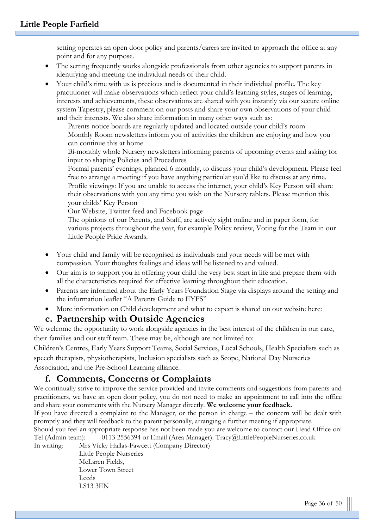setting operates an open door policy and parents/carers are invited to approach the office at any point and for any purpose.

- The setting frequently works alongside professionals from other agencies to support parents in identifying and meeting the individual needs of their child.
- Your child's time with us is precious and is documented in their individual profile. The key practitioner will make observations which reflect your child's learning styles, stages of learning, interests and achievements, these observations are shared with you instantly via our secure online system Tapestry, please comment on our posts and share your own observations of your child and their interests. We also share information in many other ways such as:

Parents notice boards are regularly updated and located outside your child's room Monthly Room newsletters inform you of activities the children are enjoying and how you can continue this at home

Bi-monthly whole Nursery newsletters informing parents of upcoming events and asking for input to shaping Policies and Procedures

Formal parents' evenings, planned 6 monthly, to discuss your child's development. Please feel free to arrange a meeting if you have anything particular you'd like to discuss at any time. Profile viewings: If you are unable to access the internet, your child's Key Person will share their observations with you any time you wish on the Nursery tablets. Please mention this your childs' Key Person

Our Website, Twitter feed and Facebook page

The opinions of our Parents, and Staff, are actively sight online and in paper form, for various projects throughout the year, for example Policy review, Voting for the Team in our Little People Pride Awards.

- Your child and family will be recognised as individuals and your needs will be met with compassion. Your thoughts feelings and ideas will be listened to and valued.
- Our aim is to support you in offering your child the very best start in life and prepare them with all the characteristics required for effective learning throughout their education.
- Parents are informed about the Early Years Foundation Stage via displays around the setting and the information leaflet "A Parents Guide to EYFS"
- More information on Child development and what to expect is shared on our website here:

## **e. Partnership with Outside Agencies**

We welcome the opportunity to work alongside agencies in the best interest of the children in our care, their families and our staff team. These may be, although are not limited to:

Children's Centres, Early Years Support Teams, Social Services, Local Schools, Health Specialists such as speech therapists, physiotherapists, Inclusion specialists such as Scope, National Day Nurseries Association, and the Pre-School Learning alliance.

# **f. Comments, Concerns or Complaints**

We continually strive to improve the service provided and invite comments and suggestions from parents and practitioners, we have an open door policy, you do not need to make an appointment to call into the office and share your comments with the Nursery Manager directly. **We welcome your feedback.**

If you have directed a complaint to the Manager, or the person in charge – the concern will be dealt with promptly and they will feedback to the parent personally, arranging a further meeting if appropriate.

Should you feel an appropriate response has not been made you are welcome to contact our Head Office on: Tel (Admin team): 0113 2556394 or Email (Area Manager): Tracy@LittlePeopleNurseries.co.uk

In writing: Mrs Vicky Hallas-Fawcett (Company Director)

Little People Nurseries McLaren Fields, Lower Town Street Leeds LS13 3EN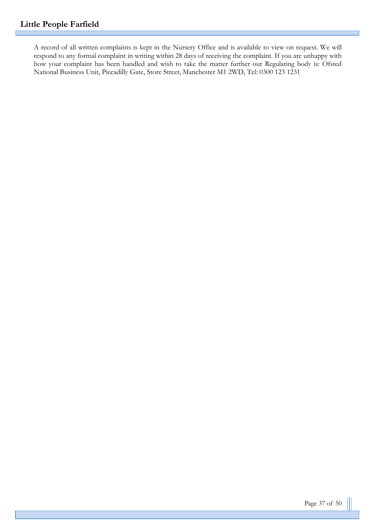A record of all written complaints is kept in the Nursery Office and is available to view on request. We will respond to any formal complaint in writing within 28 days of receiving the complaint. If you are unhappy with how your complaint has been handled and wish to take the matter further our Regulating body is: Ofsted National Business Unit, Piccadilly Gate, Store Street, Manchester M1 2WD, Tel: 0300 123 1231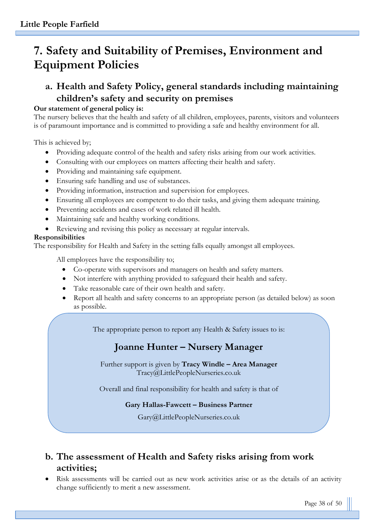# **7. Safety and Suitability of Premises, Environment and Equipment Policies**

# **a. Health and Safety Policy, general standards including maintaining children's safety and security on premises**

#### **Our statement of general policy is:**

The nursery believes that the health and safety of all children, employees, parents, visitors and volunteers is of paramount importance and is committed to providing a safe and healthy environment for all.

This is achieved by;

- Providing adequate control of the health and safety risks arising from our work activities.
- Consulting with our employees on matters affecting their health and safety.
- Providing and maintaining safe equipment.
- Ensuring safe handling and use of substances.
- Providing information, instruction and supervision for employees.
- Ensuring all employees are competent to do their tasks, and giving them adequate training.
- Preventing accidents and cases of work related ill health.
- Maintaining safe and healthy working conditions.
- Reviewing and revising this policy as necessary at regular intervals.

#### **Responsibilities**

The responsibility for Health and Safety in the setting falls equally amongst all employees.

All employees have the responsibility to;

- Co-operate with supervisors and managers on health and safety matters.
- Not interfere with anything provided to safeguard their health and safety.
- Take reasonable care of their own health and safety.
- Report all health and safety concerns to an appropriate person (as detailed below) as soon as possible.

The appropriate person to report any Health & Safety issues to is:

# **Joanne Hunter – Nursery Manager**

Further support is given by **Tracy Windle – Area Manager**  Tracy@LittlePeopleNurseries.co.uk

Overall and final responsibility for health and safety is that of

#### **Gary Hallas-Fawcett – Business Partner**

Gary@LittlePeopleNurseries.co.uk

# **b. The assessment of Health and Safety risks arising from work activities;**

• Risk assessments will be carried out as new work activities arise or as the details of an activity change sufficiently to merit a new assessment.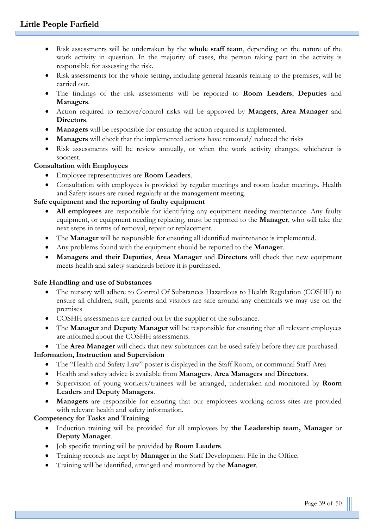- Risk assessments will be undertaken by the **whole staff team**, depending on the nature of the work activity in question. In the majority of cases, the person taking part in the activity is responsible for assessing the risk.
- Risk assessments for the whole setting, including general hazards relating to the premises, will be carried out.
- The findings of the risk assessments will be reported to **Room Leaders**, **Deputies** and **Managers**.
- Action required to remove/control risks will be approved by **Mangers**, **Area Manager** and **Directors**.
- **Managers** will be responsible for ensuring the action required is implemented.
- **Managers** will check that the implemented actions have removed/ reduced the risks
- Risk assessments will be review annually, or when the work activity changes, whichever is soonest.

# **Consultation with Employees**

- Employee representatives are **Room Leaders**.
- Consultation with employees is provided by regular meetings and room leader meetings. Health and Safety issues are raised regularly at the management meeting.

# **Safe equipment and the reporting of faulty equipment**

- **All employees** are responsible for identifying any equipment needing maintenance. Any faulty equipment, or equipment needing replacing, must be reported to the **Manager**, who will take the next steps in terms of removal, repair or replacement.
- The **Manager** will be responsible for ensuring all identified maintenance is implemented.
- Any problems found with the equipment should be reported to the **Manager**.
- **Managers and their Deputies**, **Area Manager** and **Directors** will check that new equipment meets health and safety standards before it is purchased.

# **Safe Handling and use of Substances**

- The nursery will adhere to Control Of Substances Hazardous to Health Regulation (COSHH) to ensure all children, staff, parents and visitors are safe around any chemicals we may use on the premises
- COSHH assessments are carried out by the supplier of the substance.
- The **Manager** and **Deputy Manager** will be responsible for ensuring that all relevant employees are informed about the COSHH assessments.

• The **Area Manager** will check that new substances can be used safely before they are purchased. **Information, Instruction and Supervision**

- The "Health and Safety Law" poster is displayed in the Staff Room, or communal Staff Area
- Health and safety advice is available from **Managers**, **Area Managers** and **Directors**.
- Supervision of young workers/trainees will be arranged, undertaken and monitored by **Room Leaders** and **Deputy Managers**.
- **Managers** are responsible for ensuring that our employees working across sites are provided with relevant health and safety information.

# **Competency for Tasks and Training**

- Induction training will be provided for all employees by **the Leadership team, Manager** or **Deputy Manager**.
- Job specific training will be provided by **Room Leaders**.
- Training records are kept by **Manager** in the Staff Development File in the Office.
- Training will be identified, arranged and monitored by the **Manager**.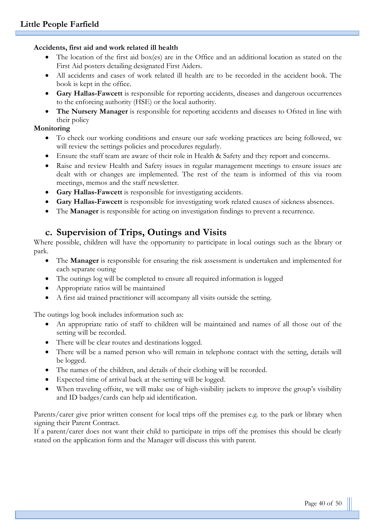#### **Accidents, first aid and work related ill health**

- The location of the first aid box(es) are in the Office and an additional location as stated on the First Aid posters detailing designated First Aiders.
- All accidents and cases of work related ill health are to be recorded in the accident book. The book is kept in the office.
- **Gary Hallas-Fawcett** is responsible for reporting accidents, diseases and dangerous occurrences to the enforcing authority (HSE) or the local authority.
- **The Nursery Manager** is responsible for reporting accidents and diseases to Ofsted in line with their policy

#### **Monitoring**

- To check our working conditions and ensure our safe working practices are being followed, we will review the settings policies and procedures regularly.
- Ensure the staff team are aware of their role in Health & Safety and they report and concerns.
- Raise and review Health and Safety issues in regular management meetings to ensure issues are dealt with or changes are implemented. The rest of the team is informed of this via room meetings, memos and the staff newsletter.
- **Gary Hallas-Fawcett** is responsible for investigating accidents.
- **Gary Hallas-Fawcett** is responsible for investigating work related causes of sickness absences.
- The **Manager** is responsible for acting on investigation findings to prevent a recurrence.

# **c. Supervision of Trips, Outings and Visits**

Where possible, children will have the opportunity to participate in local outings such as the library or park.

- The **Manager** is responsible for ensuring the risk assessment is undertaken and implemented for each separate outing
- The outings log will be completed to ensure all required information is logged
- Appropriate ratios will be maintained
- A first aid trained practitioner will accompany all visits outside the setting.

The outings log book includes information such as:

- An appropriate ratio of staff to children will be maintained and names of all those out of the setting will be recorded.
- There will be clear routes and destinations logged.
- There will be a named person who will remain in telephone contact with the setting, details will be logged.
- The names of the children, and details of their clothing will be recorded.
- Expected time of arrival back at the setting will be logged.
- When traveling offsite, we will make use of high-visibility jackets to improve the group's visibility and ID badges/cards can help aid identification.

Parents/carer give prior written consent for local trips off the premises e.g. to the park or library when signing their Parent Contract.

If a parent/carer does not want their child to participate in trips off the premises this should be clearly stated on the application form and the Manager will discuss this with parent.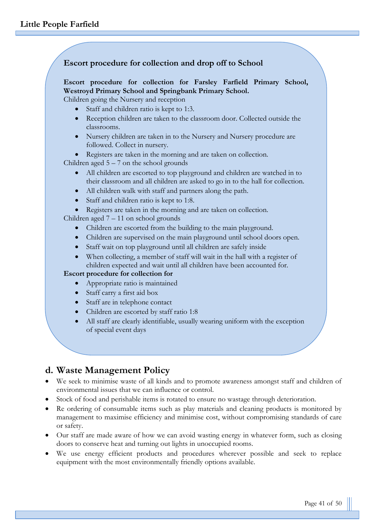#### **Escort procedure for collection and drop off to School**

#### **Escort procedure for collection for Farsley Farfield Primary School, Westroyd Primary School and Springbank Primary School.**

Children going the Nursery and reception

- Staff and children ratio is kept to 1:3.
- Reception children are taken to the classroom door. Collected outside the classrooms.
- Nursery children are taken in to the Nursery and Nursery procedure are followed. Collect in nursery.

• Registers are taken in the morning and are taken on collection.

Children aged  $5 - 7$  on the school grounds

- All children are escorted to top playground and children are watched in to their classroom and all children are asked to go in to the hall for collection.
- All children walk with staff and partners along the path.
- Staff and children ratio is kept to 1:8.
- Registers are taken in the morning and are taken on collection.

Children aged 7 – 11 on school grounds

- Children are escorted from the building to the main playground.
- Children are supervised on the main playground until school doors open.
- Staff wait on top playground until all children are safely inside
- When collecting, a member of staff will wait in the hall with a register of children expected and wait until all children have been accounted for.

#### **Escort procedure for collection for**

- Appropriate ratio is maintained
- Staff carry a first aid box
- Staff are in telephone contact
- Children are escorted by staff ratio 1:8
- All staff are clearly identifiable, usually wearing uniform with the exception of special event days

# **d. Waste Management Policy**

- We seek to minimise waste of all kinds and to promote awareness amongst staff and children of environmental issues that we can influence or control.
- Stock of food and perishable items is rotated to ensure no wastage through deterioration.
- Re ordering of consumable items such as play materials and cleaning products is monitored by management to maximise efficiency and minimise cost, without compromising standards of care or safety.
- Our staff are made aware of how we can avoid wasting energy in whatever form, such as closing doors to conserve heat and turning out lights in unoccupied rooms.
- We use energy efficient products and procedures wherever possible and seek to replace equipment with the most environmentally friendly options available.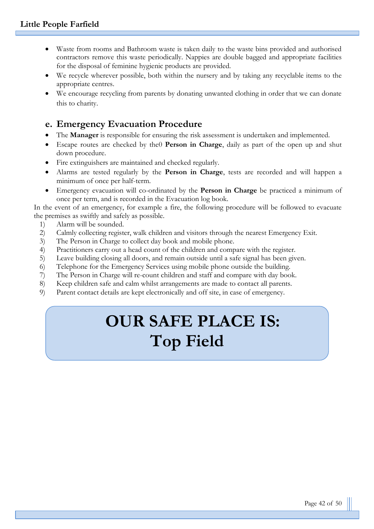- Waste from rooms and Bathroom waste is taken daily to the waste bins provided and authorised contractors remove this waste periodically. Nappies are double bagged and appropriate facilities for the disposal of feminine hygienic products are provided.
- We recycle wherever possible, both within the nursery and by taking any recyclable items to the appropriate centres.
- We encourage recycling from parents by donating unwanted clothing in order that we can donate this to charity.

# **e. Emergency Evacuation Procedure**

- The **Manager** is responsible for ensuring the risk assessment is undertaken and implemented.
- Escape routes are checked by the0 **Person in Charge**, daily as part of the open up and shut down procedure.
- Fire extinguishers are maintained and checked regularly.
- Alarms are tested regularly by the **Person in Charge**, tests are recorded and will happen a minimum of once per half-term.
- Emergency evacuation will co-ordinated by the **Person in Charge** be practiced a minimum of once per term, and is recorded in the Evacuation log book.

In the event of an emergency, for example a fire, the following procedure will be followed to evacuate the premises as swiftly and safely as possible.

- 1) Alarm will be sounded.
- 2) Calmly collecting register, walk children and visitors through the nearest Emergency Exit.
- 3) The Person in Charge to collect day book and mobile phone.
- 4) Practitioners carry out a head count of the children and compare with the register.
- 5) Leave building closing all doors, and remain outside until a safe signal has been given.
- 6) Telephone for the Emergency Services using mobile phone outside the building.
- 7) The Person in Charge will re-count children and staff and compare with day book.
- 8) Keep children safe and calm whilst arrangements are made to contact all parents.
- 9) Parent contact details are kept electronically and off site, in case of emergency.

# **OUR SAFE PLACE IS: Top Field**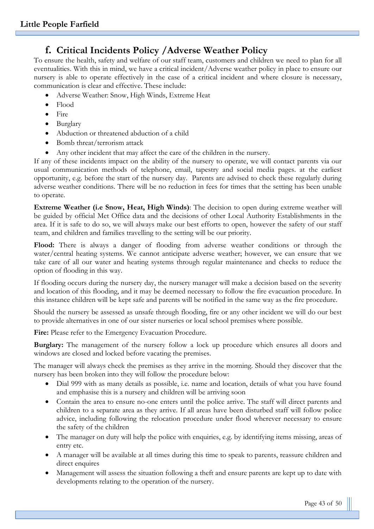# **f. Critical Incidents Policy /Adverse Weather Policy**

To ensure the health, safety and welfare of our staff team, customers and children we need to plan for all eventualities. With this in mind, we have a critical incident/Adverse weather policy in place to ensure our nursery is able to operate effectively in the case of a critical incident and where closure is necessary, communication is clear and effective. These include:

- Adverse Weather: Snow, High Winds, Extreme Heat
- Flood
- Fire
- Burglary
- Abduction or threatened abduction of a child
- Bomb threat/terrorism attack
- Any other incident that may affect the care of the children in the nursery.

If any of these incidents impact on the ability of the nursery to operate, we will contact parents via our usual communication methods of telephone, email, tapestry and social media pages. at the earliest opportunity, e.g. before the start of the nursery day. Parents are advised to check these regularly during adverse weather conditions. There will be no reduction in fees for times that the setting has been unable to operate.

**Extreme Weather (i.e Snow, Heat, High Winds)**: The decision to open during extreme weather will be guided by official Met Office data and the decisions of other Local Authority Establishments in the area. If it is safe to do so, we will always make our best efforts to open, however the safety of our staff team, and children and families travelling to the setting will be our priority.

Flood: There is always a danger of flooding from adverse weather conditions or through the water/central heating systems. We cannot anticipate adverse weather; however, we can ensure that we take care of all our water and heating systems through regular maintenance and checks to reduce the option of flooding in this way.

If flooding occurs during the nursery day, the nursery manager will make a decision based on the severity and location of this flooding, and it may be deemed necessary to follow the fire evacuation procedure. In this instance children will be kept safe and parents will be notified in the same way as the fire procedure.

Should the nursery be assessed as unsafe through flooding, fire or any other incident we will do our best to provide alternatives in one of our sister nurseries or local school premises where possible.

Fire: Please refer to the Emergency Evacuation Procedure.

**Burglary:** The management of the nursery follow a lock up procedure which ensures all doors and windows are closed and locked before vacating the premises.

The manager will always check the premises as they arrive in the morning. Should they discover that the nursery has been broken into they will follow the procedure below:

- Dial 999 with as many details as possible, i.e. name and location, details of what you have found and emphasise this is a nursery and children will be arriving soon
- Contain the area to ensure no-one enters until the police arrive. The staff will direct parents and children to a separate area as they arrive. If all areas have been disturbed staff will follow police advice, including following the relocation procedure under flood wherever necessary to ensure the safety of the children
- The manager on duty will help the police with enquiries, e.g. by identifying items missing, areas of entry etc.
- A manager will be available at all times during this time to speak to parents, reassure children and direct enquires
- Management will assess the situation following a theft and ensure parents are kept up to date with developments relating to the operation of the nursery.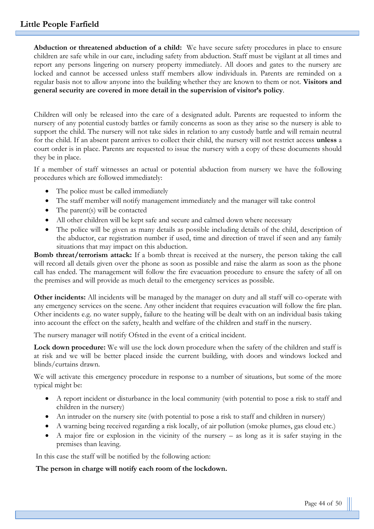**Abduction or threatened abduction of a child:** We have secure safety procedures in place to ensure children are safe while in our care, including safety from abduction. Staff must be vigilant at all times and report any persons lingering on nursery property immediately. All doors and gates to the nursery are locked and cannot be accessed unless staff members allow individuals in. Parents are reminded on a regular basis not to allow anyone into the building whether they are known to them or not. **Visitors and general security are covered in more detail in the supervision of visitor's policy**.

Children will only be released into the care of a designated adult. Parents are requested to inform the nursery of any potential custody battles or family concerns as soon as they arise so the nursery is able to support the child. The nursery will not take sides in relation to any custody battle and will remain neutral for the child. If an absent parent arrives to collect their child, the nursery will not restrict access **unless** a court order is in place. Parents are requested to issue the nursery with a copy of these documents should they be in place.

If a member of staff witnesses an actual or potential abduction from nursery we have the following procedures which are followed immediately:

- The police must be called immediately
- The staff member will notify management immediately and the manager will take control
- The parent(s) will be contacted
- All other children will be kept safe and secure and calmed down where necessary
- The police will be given as many details as possible including details of the child, description of the abductor, car registration number if used, time and direction of travel if seen and any family situations that may impact on this abduction.

**Bomb threat/terrorism attack:** If a bomb threat is received at the nursery, the person taking the call will record all details given over the phone as soon as possible and raise the alarm as soon as the phone call has ended. The management will follow the fire evacuation procedure to ensure the safety of all on the premises and will provide as much detail to the emergency services as possible.

**Other incidents:** All incidents will be managed by the manager on duty and all staff will co-operate with any emergency services on the scene. Any other incident that requires evacuation will follow the fire plan. Other incidents e.g. no water supply, failure to the heating will be dealt with on an individual basis taking into account the effect on the safety, health and welfare of the children and staff in the nursery.

The nursery manager will notify Ofsted in the event of a critical incident.

**Lock down procedure:** We will use the lock down procedure when the safety of the children and staff is at risk and we will be better placed inside the current building, with doors and windows locked and blinds/curtains drawn.

We will activate this emergency procedure in response to a number of situations, but some of the more typical might be:

- A report incident or disturbance in the local community (with potential to pose a risk to staff and children in the nursery)
- An intruder on the nursery site (with potential to pose a risk to staff and children in nursery)
- A warning being received regarding a risk locally, of air pollution (smoke plumes, gas cloud etc.)
- A major fire or explosion in the vicinity of the nursery as long as it is safer staying in the premises than leaving.

In this case the staff will be notified by the following action:

#### **The person in charge will notify each room of the lockdown.**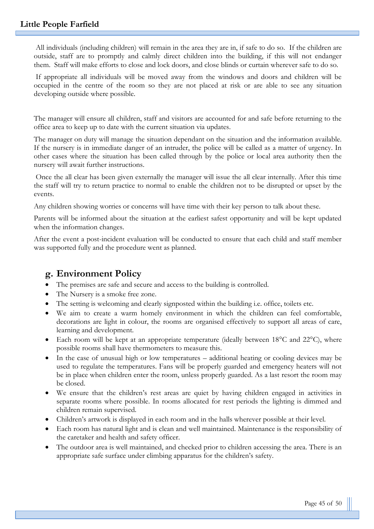All individuals (including children) will remain in the area they are in, if safe to do so. If the children are outside, staff are to promptly and calmly direct children into the building, if this will not endanger them. Staff will make efforts to close and lock doors, and close blinds or curtain wherever safe to do so.

If appropriate all individuals will be moved away from the windows and doors and children will be occupied in the centre of the room so they are not placed at risk or are able to see any situation developing outside where possible.

The manager will ensure all children, staff and visitors are accounted for and safe before returning to the office area to keep up to date with the current situation via updates.

The manager on duty will manage the situation dependant on the situation and the information available. If the nursery is in immediate danger of an intruder, the police will be called as a matter of urgency. In other cases where the situation has been called through by the police or local area authority then the nursery will await further instructions.

Once the all clear has been given externally the manager will issue the all clear internally. After this time the staff will try to return practice to normal to enable the children not to be disrupted or upset by the events.

Any children showing worries or concerns will have time with their key person to talk about these.

Parents will be informed about the situation at the earliest safest opportunity and will be kept updated when the information changes.

After the event a post-incident evaluation will be conducted to ensure that each child and staff member was supported fully and the procedure went as planned.

# **g. Environment Policy**

- The premises are safe and secure and access to the building is controlled.
- The Nursery is a smoke free zone.
- The setting is welcoming and clearly signposted within the building i.e. office, toilets etc.
- We aim to create a warm homely environment in which the children can feel comfortable, decorations are light in colour, the rooms are organised effectively to support all areas of care, learning and development.
- Each room will be kept at an appropriate temperature (ideally between  $18^{\circ}$ C and  $22^{\circ}$ C), where possible rooms shall have thermometers to measure this.
- In the case of unusual high or low temperatures additional heating or cooling devices may be used to regulate the temperatures. Fans will be properly guarded and emergency heaters will not be in place when children enter the room, unless properly guarded. As a last resort the room may be closed.
- We ensure that the children's rest areas are quiet by having children engaged in activities in separate rooms where possible. In rooms allocated for rest periods the lighting is dimmed and children remain supervised.
- Children's artwork is displayed in each room and in the halls wherever possible at their level.
- Each room has natural light and is clean and well maintained. Maintenance is the responsibility of the caretaker and health and safety officer.
- The outdoor area is well maintained, and checked prior to children accessing the area. There is an appropriate safe surface under climbing apparatus for the children's safety.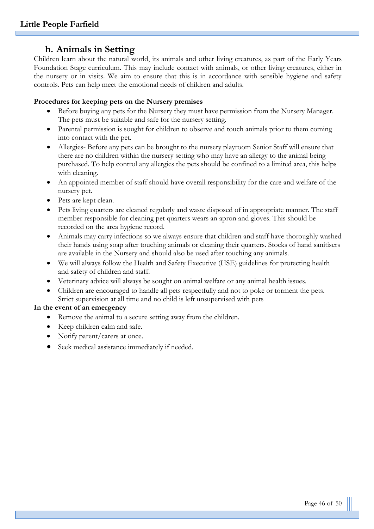# **h. Animals in Setting**

Children learn about the natural world, its animals and other living creatures, as part of the Early Years Foundation Stage curriculum. This may include contact with animals, or other living creatures, either in the nursery or in visits. We aim to ensure that this is in accordance with sensible hygiene and safety controls. Pets can help meet the emotional needs of children and adults.

#### **Procedures for keeping pets on the Nursery premises**

- Before buying any pets for the Nursery they must have permission from the Nursery Manager. The pets must be suitable and safe for the nursery setting.
- Parental permission is sought for children to observe and touch animals prior to them coming into contact with the pet.
- Allergies- Before any pets can be brought to the nursery playroom Senior Staff will ensure that there are no children within the nursery setting who may have an allergy to the animal being purchased. To help control any allergies the pets should be confined to a limited area, this helps with cleaning.
- An appointed member of staff should have overall responsibility for the care and welfare of the nursery pet.
- Pets are kept clean.
- Pets living quarters are cleaned regularly and waste disposed of in appropriate manner. The staff member responsible for cleaning pet quarters wears an apron and gloves. This should be recorded on the area hygiene record.
- Animals may carry infections so we always ensure that children and staff have thoroughly washed their hands using soap after touching animals or cleaning their quarters. Stocks of hand sanitisers are available in the Nursery and should also be used after touching any animals.
- We will always follow the Health and Safety Executive (HSE) guidelines for protecting health and safety of children and staff.
- Veterinary advice will always be sought on animal welfare or any animal health issues.
- Children are encouraged to handle all pets respectfully and not to poke or torment the pets. Strict supervision at all time and no child is left unsupervised with pets

#### **In the event of an emergency**

- Remove the animal to a secure setting away from the children.
- Keep children calm and safe.
- Notify parent/carers at once.
- Seek medical assistance immediately if needed.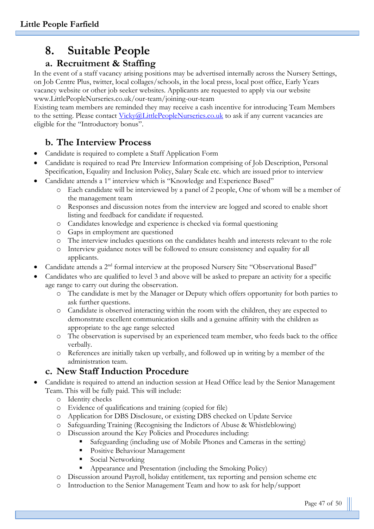# **8. Suitable People**

# **a. Recruitment & Staffing**

In the event of a staff vacancy arising positions may be advertised internally across the Nursery Settings, on Job Centre Plus, twitter, local collages/schools, in the local press, local post office, Early Years vacancy website or other job seeker websites. Applicants are requested to apply via our website www.LittlePeopleNurseries.co.uk/our-team/joining-our-team

Existing team members are reminded they may receive a cash incentive for introducing Team Members to the setting. Please contact [Vicky@LittlePeopleNurseries.co.uk](mailto:Vicky@LittlePeopleNurseries.co.uk) to ask if any current vacancies are eligible for the "Introductory bonus".

# **b. The Interview Process**

- Candidate is required to complete a Staff Application Form
- Candidate is required to read Pre Interview Information comprising of Job Description, Personal Specification, Equality and Inclusion Policy, Salary Scale etc. which are issued prior to interview
- Candidate attends a 1<sup>st</sup> interview which is "Knowledge and Experience Based"
	- o Each candidate will be interviewed by a panel of 2 people, One of whom will be a member of the management team
	- o Responses and discussion notes from the interview are logged and scored to enable short listing and feedback for candidate if requested.
	- o Candidates knowledge and experience is checked via formal questioning
	- o Gaps in employment are questioned
	- o The interview includes questions on the candidates health and interests relevant to the role
	- o Interview guidance notes will be followed to ensure consistency and equality for all applicants.
- Candidate attends a 2nd formal interview at the proposed Nursery Site "Observational Based"
- Candidates who are qualified to level 3 and above will be asked to prepare an activity for a specific age range to carry out during the observation.
	- o The candidate is met by the Manager or Deputy which offers opportunity for both parties to ask further questions.
	- o Candidate is observed interacting within the room with the children, they are expected to demonstrate excellent communication skills and a genuine affinity with the children as appropriate to the age range selected
	- o The observation is supervised by an experienced team member, who feeds back to the office verbally.
	- o References are initially taken up verbally, and followed up in writing by a member of the administration team.

# **c. New Staff Induction Procedure**

- Candidate is required to attend an induction session at Head Office lead by the Senior Management Team. This will be fully paid. This will include:
	- o Identity checks
	- o Evidence of qualifications and training (copied for file)
	- o Application for DBS Disclosure, or existing DBS checked on Update Service
	- o Safeguarding Training (Recognising the Indictors of Abuse & Whistleblowing)
	- o Discussion around the Key Policies and Procedures including:
		- Safeguarding (including use of Mobile Phones and Cameras in the setting)
		- **•** Positive Behaviour Management
		- Social Networking
		- Appearance and Presentation (including the Smoking Policy)
	- o Discussion around Payroll, holiday entitlement, tax reporting and pension scheme etc
	- o Introduction to the Senior Management Team and how to ask for help/support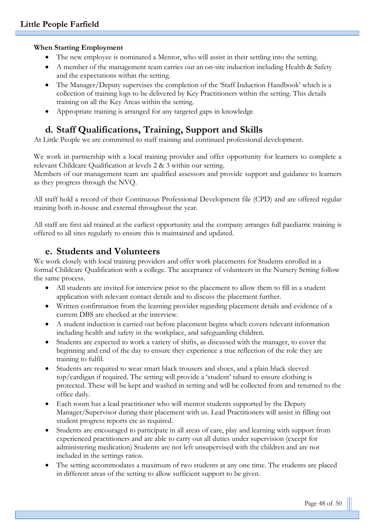#### **When Starting Employment**

- The new employee is nominated a Mentor, who will assist in their settling into the setting.
- A member of the management team carries out an on-site induction including Health & Safety and the expectations within the setting.
- The Manager/Deputy supervises the completion of the 'Staff Induction Handbook' which is a collection of training logs to be delivered by Key Practitioners within the setting. This details training on all the Key Areas within the setting.
- Appropriate training is arranged for any targeted gaps in knowledge

# **d. Staff Qualifications, Training, Support and Skills**

At Little People we are committed to staff training and continued professional development.

We work in partnership with a local training provider and offer opportunity for learners to complete a relevant Childcare Qualification at levels 2 & 3 within our setting.

Members of our management team are qualified assessors and provide support and guidance to learners as they progress through the NVQ.

All staff hold a record of their Continuous Professional Development file (CPD) and are offered regular training both in-house and external throughout the year.

All staff are first aid trained at the earliest opportunity and the company arranges full paediatric training is offered to all sites regularly to ensure this is maintained and updated.

## **e. Students and Volunteers**

We work closely with local training providers and offer work placements for Students enrolled in a formal Childcare Qualification with a college. The acceptance of volunteers in the Nursery Setting follow the same process.

- All students are invited for interview prior to the placement to allow them to fill in a student application with relevant contact details and to discuss the placement further.
- Written confirmation from the learning provider regarding placement details and evidence of a current DBS are checked at the interview.
- A student induction is carried out before placement begins which covers relevant information including health and safety in the workplace, and safeguarding children.
- Students are expected to work a variety of shifts, as discussed with the manager, to cover the beginning and end of the day to ensure they experience a true reflection of the role they are training to fulfil.
- Students are required to wear smart black trousers and shoes, and a plain black sleeved top/cardigan if required. The setting will provide a 'student' tabard to ensure clothing is protected. These will be kept and washed in setting and will be collected from and returned to the office daily.
- Each room has a lead practitioner who will mentor students supported by the Deputy Manager/Supervisor during their placement with us. Lead Practitioners will assist in filling out student progress reports etc as required.
- Students are encouraged to participate in all areas of care, play and learning with support from experienced practitioners and are able to carry out all duties under supervision (except for administering medication) Students are not left unsupervised with the children and are not included in the settings ratios.
- The setting accommodates a maximum of two students at any one time. The students are placed in different areas of the setting to allow sufficient support to be given.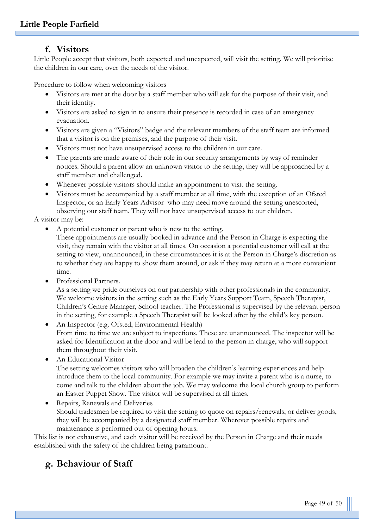## **f. Visitors**

Little People accept that visitors, both expected and unexpected, will visit the setting. We will prioritise the children in our care, over the needs of the visitor.

Procedure to follow when welcoming visitors

- Visitors are met at the door by a staff member who will ask for the purpose of their visit, and their identity.
- Visitors are asked to sign in to ensure their presence is recorded in case of an emergency evacuation.
- Visitors are given a "Visitors" badge and the relevant members of the staff team are informed that a visitor is on the premises, and the purpose of their visit.
- Visitors must not have unsupervised access to the children in our care.
- The parents are made aware of their role in our security arrangements by way of reminder notices. Should a parent allow an unknown visitor to the setting, they will be approached by a staff member and challenged.
- Whenever possible visitors should make an appointment to visit the setting.
- Visitors must be accompanied by a staff member at all time, with the exception of an Ofsted Inspector, or an Early Years Advisor who may need move around the setting unescorted, observing our staff team. They will not have unsupervised access to our children.

A visitor may be:

• A potential customer or parent who is new to the setting.

These appointments are usually booked in advance and the Person in Charge is expecting the visit, they remain with the visitor at all times. On occasion a potential customer will call at the setting to view, unannounced, in these circumstances it is at the Person in Charge's discretion as to whether they are happy to show them around, or ask if they may return at a more convenient time.

Professional Partners.

As a setting we pride ourselves on our partnership with other professionals in the community. We welcome visitors in the setting such as the Early Years Support Team, Speech Therapist, Children's Centre Manager, School teacher. The Professional is supervised by the relevant person in the setting, for example a Speech Therapist will be looked after by the child's key person.

• An Inspector (e.g. Ofsted, Environmental Health) From time to time we are subject to inspections. These are unannounced. The inspector will be asked for Identification at the door and will be lead to the person in charge, who will support them throughout their visit.

• An Educational Visitor

The setting welcomes visitors who will broaden the children's learning experiences and help introduce them to the local community. For example we may invite a parent who is a nurse, to come and talk to the children about the job. We may welcome the local church group to perform an Easter Puppet Show. The visitor will be supervised at all times.

• Repairs, Renewals and Deliveries Should tradesmen be required to visit the setting to quote on repairs/renewals, or deliver goods, they will be accompanied by a designated staff member. Wherever possible repairs and maintenance is performed out of opening hours.

This list is not exhaustive, and each visitor will be received by the Person in Charge and their needs established with the safety of the children being paramount.

# **g. Behaviour of Staff**